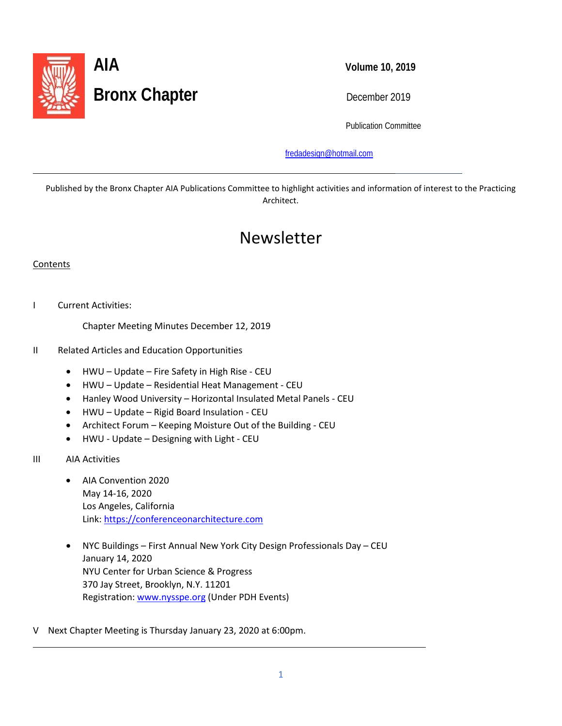

Publication Committee

[fredadesign@hotmail.com](mailto:fredadesign@hotmail.com)

Published by the Bronx Chapter AIA Publications Committee to highlight activities and information of interest to the Practicing Architect.

# Newsletter

#### **Contents**

l

I Current Activities:

Chapter Meeting Minutes December 12, 2019

- II Related Articles and Education Opportunities
	- HWU Update Fire Safety in High Rise CEU
	- HWU Update Residential Heat Management CEU
	- Hanley Wood University Horizontal Insulated Metal Panels CEU
	- HWU Update Rigid Board Insulation CEU
	- Architect Forum Keeping Moisture Out of the Building CEU
	- HWU Update Designing with Light CEU
- III AIA Activities

L

- AIA Convention 2020 May 14-16, 2020 Los Angeles, California Link: [https://conferenceonarchitecture.com](https://conferenceonarchitecture.com/)
- NYC Buildings First Annual New York City Design Professionals Day CEU January 14, 2020 NYU Center for Urban Science & Progress 370 Jay Street, Brooklyn, N.Y. 11201 Registration[: www.nysspe.org](http://www.nysspe.org/) (Under PDH Events)
- V Next Chapter Meeting is Thursday January 23, 2020 at 6:00pm.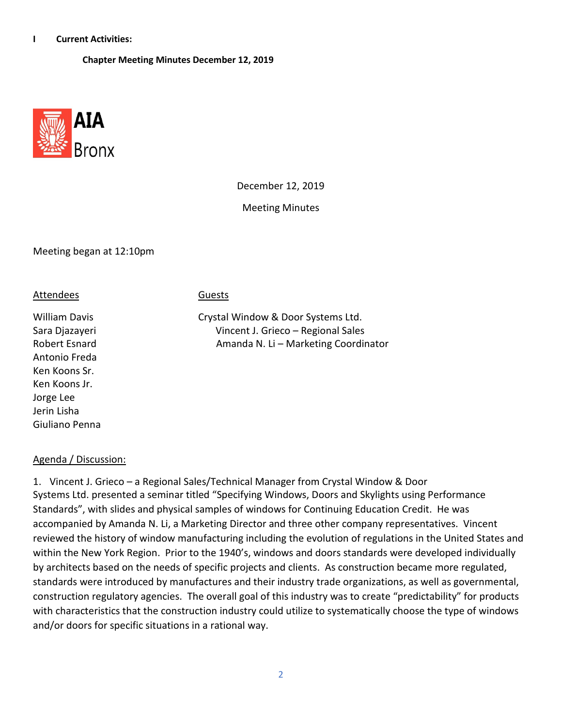#### **I Current Activities:**

 **Chapter Meeting Minutes December 12, 2019**



December 12, 2019

Meeting Minutes

#### Meeting began at 12:10pm

#### Attendees Guests

Antonio Freda Ken Koons Sr. Ken Koons Jr. Jorge Lee Jerin Lisha Giuliano Penna

William Davis **Crystal Window & Door Systems Ltd.** Sara Djazayeri Vincent J. Grieco – Regional Sales Robert Esnard **Amanda N. Li – Marketing Coordinator** 

#### Agenda / Discussion:

1. Vincent J. Grieco – a Regional Sales/Technical Manager from Crystal Window & Door Systems Ltd. presented a seminar titled "Specifying Windows, Doors and Skylights using Performance Standards", with slides and physical samples of windows for Continuing Education Credit. He was accompanied by Amanda N. Li, a Marketing Director and three other company representatives. Vincent reviewed the history of window manufacturing including the evolution of regulations in the United States and within the New York Region. Prior to the 1940's, windows and doors standards were developed individually by architects based on the needs of specific projects and clients. As construction became more regulated, standards were introduced by manufactures and their industry trade organizations, as well as governmental, construction regulatory agencies. The overall goal of this industry was to create "predictability" for products with characteristics that the construction industry could utilize to systematically choose the type of windows and/or doors for specific situations in a rational way.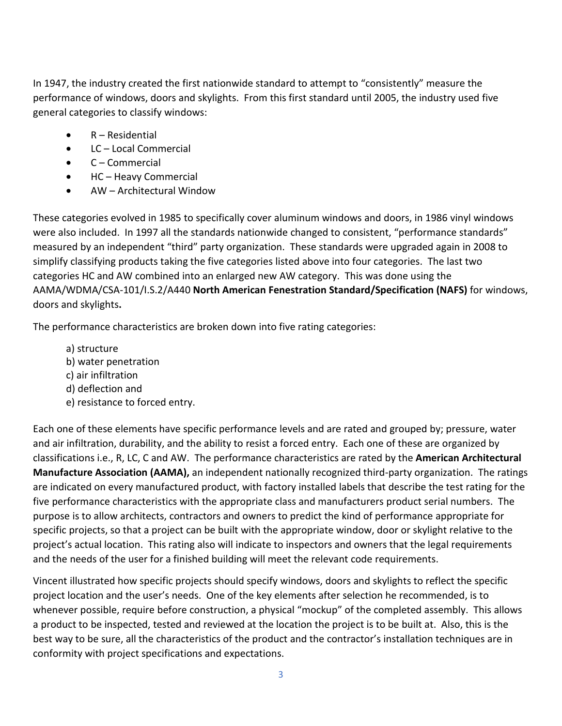In 1947, the industry created the first nationwide standard to attempt to "consistently" measure the performance of windows, doors and skylights. From this first standard until 2005, the industry used five general categories to classify windows:

- R Residential
- LC Local Commercial
- C Commercial
- HC Heavy Commercial
- AW Architectural Window

These categories evolved in 1985 to specifically cover aluminum windows and doors, in 1986 vinyl windows were also included. In 1997 all the standards nationwide changed to consistent, "performance standards" measured by an independent "third" party organization. These standards were upgraded again in 2008 to simplify classifying products taking the five categories listed above into four categories. The last two categories HC and AW combined into an enlarged new AW category. This was done using the AAMA/WDMA/CSA-101/I.S.2/A440 **North American Fenestration Standard/Specification (NAFS)** for windows, doors and skylights**.** 

The performance characteristics are broken down into five rating categories:

a) structure b) water penetration c) air infiltration d) deflection and e) resistance to forced entry.

Each one of these elements have specific performance levels and are rated and grouped by; pressure, water and air infiltration, durability, and the ability to resist a forced entry. Each one of these are organized by classifications i.e., R, LC, C and AW. The performance characteristics are rated by the **American Architectural Manufacture Association (AAMA),** an independent nationally recognized third-party organization. The ratings are indicated on every manufactured product, with factory installed labels that describe the test rating for the five performance characteristics with the appropriate class and manufacturers product serial numbers. The purpose is to allow architects, contractors and owners to predict the kind of performance appropriate for specific projects, so that a project can be built with the appropriate window, door or skylight relative to the project's actual location. This rating also will indicate to inspectors and owners that the legal requirements and the needs of the user for a finished building will meet the relevant code requirements.

Vincent illustrated how specific projects should specify windows, doors and skylights to reflect the specific project location and the user's needs. One of the key elements after selection he recommended, is to whenever possible, require before construction, a physical "mockup" of the completed assembly. This allows a product to be inspected, tested and reviewed at the location the project is to be built at. Also, this is the best way to be sure, all the characteristics of the product and the contractor's installation techniques are in conformity with project specifications and expectations.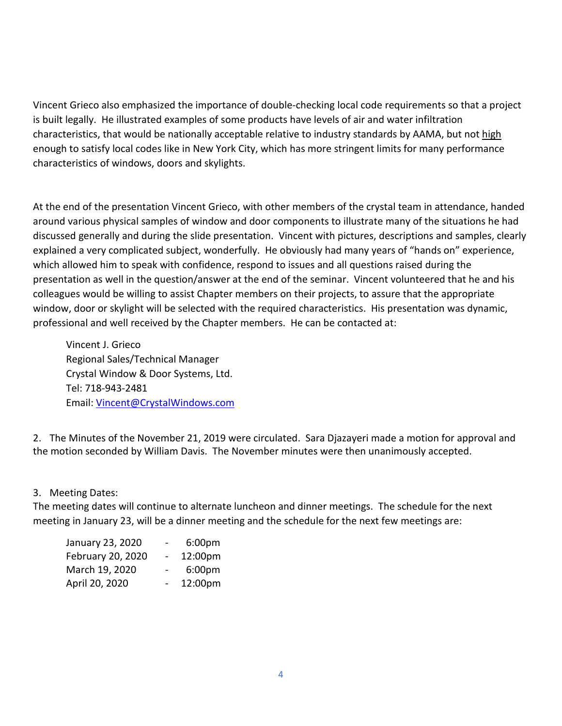Vincent Grieco also emphasized the importance of double-checking local code requirements so that a project is built legally. He illustrated examples of some products have levels of air and water infiltration characteristics, that would be nationally acceptable relative to industry standards by AAMA, but not high enough to satisfy local codes like in New York City, which has more stringent limits for many performance characteristics of windows, doors and skylights.

At the end of the presentation Vincent Grieco, with other members of the crystal team in attendance, handed around various physical samples of window and door components to illustrate many of the situations he had discussed generally and during the slide presentation. Vincent with pictures, descriptions and samples, clearly explained a very complicated subject, wonderfully. He obviously had many years of "hands on" experience, which allowed him to speak with confidence, respond to issues and all questions raised during the presentation as well in the question/answer at the end of the seminar. Vincent volunteered that he and his colleagues would be willing to assist Chapter members on their projects, to assure that the appropriate window, door or skylight will be selected with the required characteristics. His presentation was dynamic, professional and well received by the Chapter members. He can be contacted at:

Vincent J. Grieco Regional Sales/Technical Manager Crystal Window & Door Systems, Ltd. Tel: 718-943-2481 Email: [Vincent@CrystalWindows.com](mailto:Vincent@CrystalWindows.com)

2. The Minutes of the November 21, 2019 were circulated. Sara Djazayeri made a motion for approval and the motion seconded by William Davis. The November minutes were then unanimously accepted.

### 3. Meeting Dates:

The meeting dates will continue to alternate luncheon and dinner meetings. The schedule for the next meeting in January 23, will be a dinner meeting and the schedule for the next few meetings are:

| January 23, 2020  | Ξ.                       | 6:00 <sub>pm</sub> |
|-------------------|--------------------------|--------------------|
| February 20, 2020 | $\overline{\phantom{0}}$ | 12:00pm            |
| March 19, 2020    |                          | 6:00 <sub>pm</sub> |
| April 20, 2020    |                          | 12:00pm            |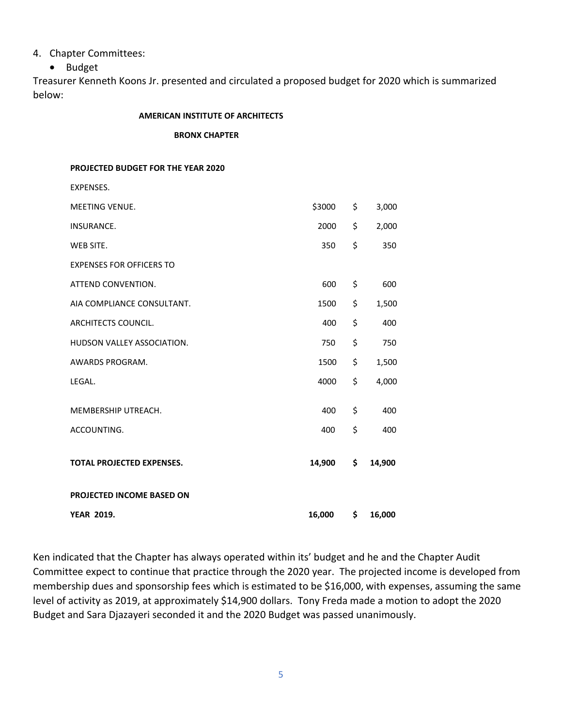### 4. Chapter Committees:

• Budget

Treasurer Kenneth Koons Jr. presented and circulated a proposed budget for 2020 which is summarized below:

#### **AMERICAN INSTITUTE OF ARCHITECTS**

 **BRONX CHAPTER**

**PROJECTED BUDGET FOR THE YEAR 2020**

| EXPENSES.                        |        |     |        |
|----------------------------------|--------|-----|--------|
| <b>MEETING VENUE.</b>            | \$3000 | \$  | 3,000  |
| <b>INSURANCE.</b>                | 2000   | \$  | 2,000  |
| WEB SITE.                        | 350    | \$  | 350    |
| <b>EXPENSES FOR OFFICERS TO</b>  |        |     |        |
| ATTEND CONVENTION.               | 600    | \$  | 600    |
| AIA COMPLIANCE CONSULTANT.       | 1500   | \$  | 1,500  |
| ARCHITECTS COUNCIL.              | 400    | \$  | 400    |
| HUDSON VALLEY ASSOCIATION.       | 750    | \$  | 750    |
| AWARDS PROGRAM.                  | 1500   | \$  | 1,500  |
| LEGAL.                           | 4000   | \$  | 4,000  |
| MEMBERSHIP UTREACH.              | 400    | \$  | 400    |
| ACCOUNTING.                      | 400    | \$  | 400    |
| <b>TOTAL PROJECTED EXPENSES.</b> | 14,900 | \$  | 14,900 |
| PROJECTED INCOME BASED ON        |        |     |        |
| <b>YEAR 2019.</b>                | 16,000 | \$. | 16,000 |

Ken indicated that the Chapter has always operated within its' budget and he and the Chapter Audit Committee expect to continue that practice through the 2020 year. The projected income is developed from membership dues and sponsorship fees which is estimated to be \$16,000, with expenses, assuming the same level of activity as 2019, at approximately \$14,900 dollars. Tony Freda made a motion to adopt the 2020 Budget and Sara Djazayeri seconded it and the 2020 Budget was passed unanimously.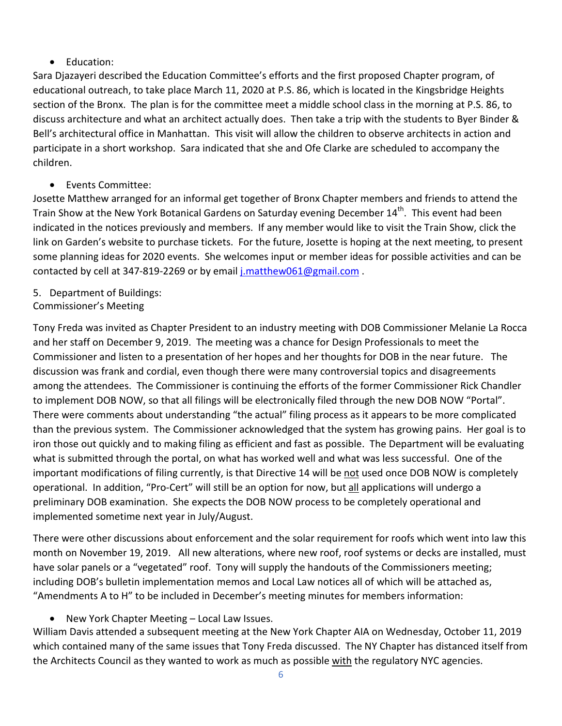# • Education:

Sara Djazayeri described the Education Committee's efforts and the first proposed Chapter program, of educational outreach, to take place March 11, 2020 at P.S. 86, which is located in the Kingsbridge Heights section of the Bronx. The plan is for the committee meet a middle school class in the morning at P.S. 86, to discuss architecture and what an architect actually does. Then take a trip with the students to Byer Binder & Bell's architectural office in Manhattan. This visit will allow the children to observe architects in action and participate in a short workshop. Sara indicated that she and Ofe Clarke are scheduled to accompany the children.

• Events Committee:

Josette Matthew arranged for an informal get together of Bronx Chapter members and friends to attend the Train Show at the New York Botanical Gardens on Saturday evening December 14<sup>th</sup>. This event had been indicated in the notices previously and members. If any member would like to visit the Train Show, click the link on Garden's website to purchase tickets. For the future, Josette is hoping at the next meeting, to present some planning ideas for 2020 events. She welcomes input or member ideas for possible activities and can be contacted by cell at 347-819-2269 or by email [j.matthew061@gmail.com](mailto:j.matthew061@gmail.com) .

- 5. Department of Buildings:
- Commissioner's Meeting

Tony Freda was invited as Chapter President to an industry meeting with DOB Commissioner Melanie La Rocca and her staff on December 9, 2019. The meeting was a chance for Design Professionals to meet the Commissioner and listen to a presentation of her hopes and her thoughts for DOB in the near future. The discussion was frank and cordial, even though there were many controversial topics and disagreements among the attendees. The Commissioner is continuing the efforts of the former Commissioner Rick Chandler to implement DOB NOW, so that all filings will be electronically filed through the new DOB NOW "Portal". There were comments about understanding "the actual" filing process as it appears to be more complicated than the previous system. The Commissioner acknowledged that the system has growing pains. Her goal is to iron those out quickly and to making filing as efficient and fast as possible. The Department will be evaluating what is submitted through the portal, on what has worked well and what was less successful. One of the important modifications of filing currently, is that Directive 14 will be not used once DOB NOW is completely operational. In addition, "Pro-Cert" will still be an option for now, but all applications will undergo a preliminary DOB examination. She expects the DOB NOW process to be completely operational and implemented sometime next year in July/August.

There were other discussions about enforcement and the solar requirement for roofs which went into law this month on November 19, 2019. All new alterations, where new roof, roof systems or decks are installed, must have solar panels or a "vegetated" roof. Tony will supply the handouts of the Commissioners meeting; including DOB's bulletin implementation memos and Local Law notices all of which will be attached as, "Amendments A to H" to be included in December's meeting minutes for members information:

• New York Chapter Meeting – Local Law Issues.

William Davis attended a subsequent meeting at the New York Chapter AIA on Wednesday, October 11, 2019 which contained many of the same issues that Tony Freda discussed. The NY Chapter has distanced itself from the Architects Council as they wanted to work as much as possible with the regulatory NYC agencies.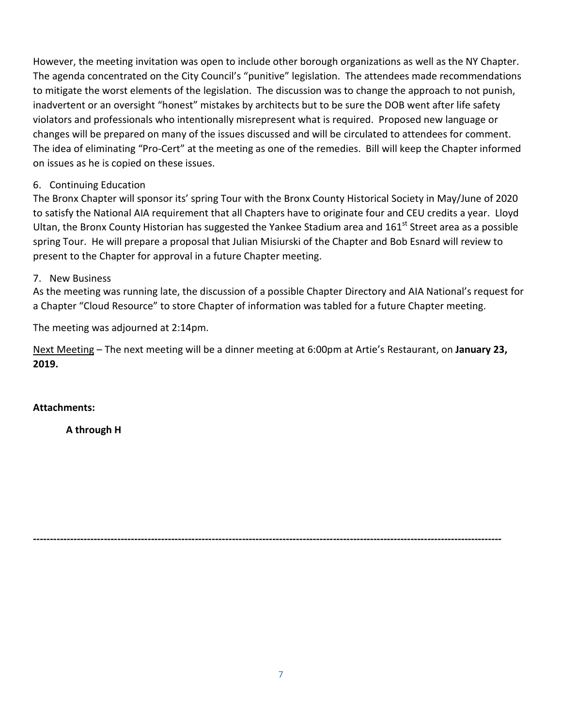However, the meeting invitation was open to include other borough organizations as well as the NY Chapter. The agenda concentrated on the City Council's "punitive" legislation. The attendees made recommendations to mitigate the worst elements of the legislation. The discussion was to change the approach to not punish, inadvertent or an oversight "honest" mistakes by architects but to be sure the DOB went after life safety violators and professionals who intentionally misrepresent what is required. Proposed new language or changes will be prepared on many of the issues discussed and will be circulated to attendees for comment. The idea of eliminating "Pro-Cert" at the meeting as one of the remedies. Bill will keep the Chapter informed on issues as he is copied on these issues.

# 6. Continuing Education

The Bronx Chapter will sponsor its' spring Tour with the Bronx County Historical Society in May/June of 2020 to satisfy the National AIA requirement that all Chapters have to originate four and CEU credits a year. Lloyd Ultan, the Bronx County Historian has suggested the Yankee Stadium area and 161<sup>st</sup> Street area as a possible spring Tour. He will prepare a proposal that Julian Misiurski of the Chapter and Bob Esnard will review to present to the Chapter for approval in a future Chapter meeting.

# 7. New Business

As the meeting was running late, the discussion of a possible Chapter Directory and AIA National's request for a Chapter "Cloud Resource" to store Chapter of information was tabled for a future Chapter meeting.

The meeting was adjourned at 2:14pm.

Next Meeting – The next meeting will be a dinner meeting at 6:00pm at Artie's Restaurant, on **January 23, 2019.**

**-------------------------------------------------------------------------------------------------------------------------------------------**

# **Attachments:**

**A through H**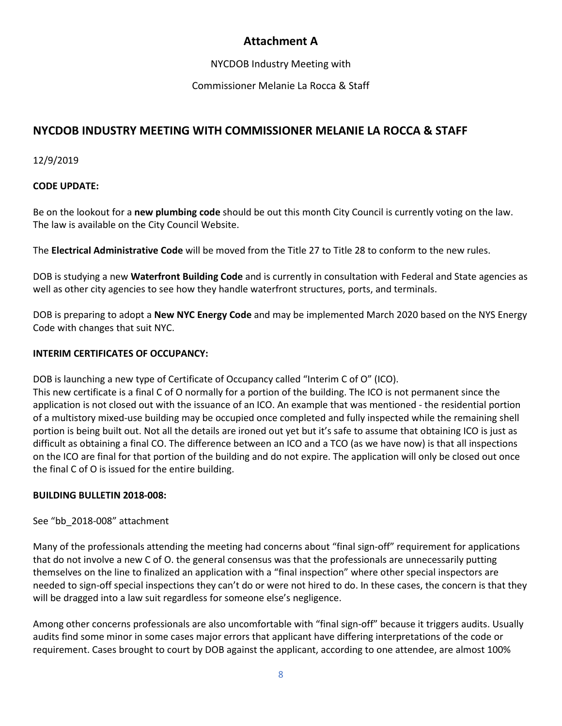# **Attachment A**

NYCDOB Industry Meeting with

Commissioner Melanie La Rocca & Staff

# **NYCDOB INDUSTRY MEETING WITH COMMISSIONER MELANIE LA ROCCA & STAFF**

12/9/2019

# **CODE UPDATE:**

Be on the lookout for a **new plumbing code** should be out this month City Council is currently voting on the law. The law is available on the City Council Website.

The **Electrical Administrative Code** will be moved from the Title 27 to Title 28 to conform to the new rules.

DOB is studying a new **Waterfront Building Code** and is currently in consultation with Federal and State agencies as well as other city agencies to see how they handle waterfront structures, ports, and terminals.

DOB is preparing to adopt a **New NYC Energy Code** and may be implemented March 2020 based on the NYS Energy Code with changes that suit NYC.

# **INTERIM CERTIFICATES OF OCCUPANCY:**

DOB is launching a new type of Certificate of Occupancy called "Interim C of O" (ICO).

This new certificate is a final C of O normally for a portion of the building. The ICO is not permanent since the application is not closed out with the issuance of an ICO. An example that was mentioned - the residential portion of a multistory mixed-use building may be occupied once completed and fully inspected while the remaining shell portion is being built out. Not all the details are ironed out yet but it's safe to assume that obtaining ICO is just as difficult as obtaining a final CO. The difference between an ICO and a TCO (as we have now) is that all inspections on the ICO are final for that portion of the building and do not expire. The application will only be closed out once the final C of O is issued for the entire building.

# **BUILDING BULLETIN 2018-008:**

See "bb\_2018-008" attachment

Many of the professionals attending the meeting had concerns about "final sign-off" requirement for applications that do not involve a new C of O. the general consensus was that the professionals are unnecessarily putting themselves on the line to finalized an application with a "final inspection" where other special inspectors are needed to sign-off special inspections they can't do or were not hired to do. In these cases, the concern is that they will be dragged into a law suit regardless for someone else's negligence.

Among other concerns professionals are also uncomfortable with "final sign-off" because it triggers audits. Usually audits find some minor in some cases major errors that applicant have differing interpretations of the code or requirement. Cases brought to court by DOB against the applicant, according to one attendee, are almost 100%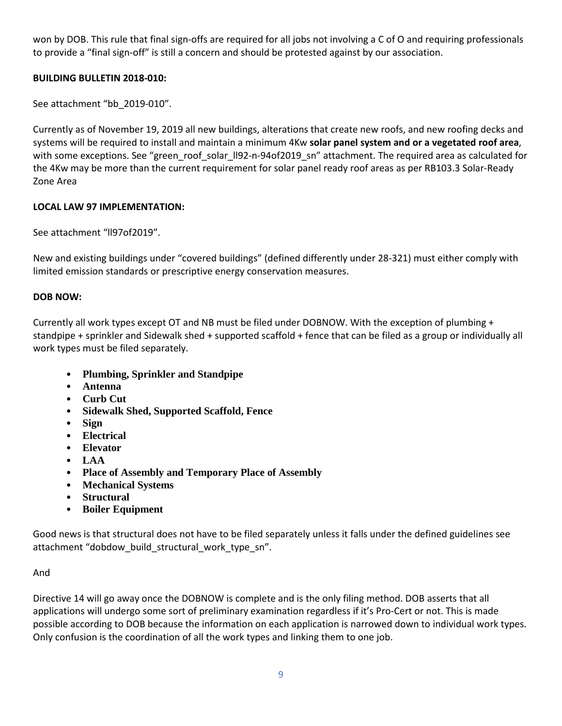won by DOB. This rule that final sign-offs are required for all jobs not involving a C of O and requiring professionals to provide a "final sign-off" is still a concern and should be protested against by our association.

# **BUILDING BULLETIN 2018-010:**

See attachment "bb\_2019-010".

Currently as of November 19, 2019 all new buildings, alterations that create new roofs, and new roofing decks and systems will be required to install and maintain a minimum 4Kw **solar panel system and or a vegetated roof area**, with some exceptions. See "green\_roof\_solar\_ll92-n-94of2019\_sn" attachment. The required area as calculated for the 4Kw may be more than the current requirement for solar panel ready roof areas as per RB103.3 Solar-Ready Zone Area

# **LOCAL LAW 97 IMPLEMENTATION:**

See attachment "ll97of2019".

New and existing buildings under "covered buildings" (defined differently under 28-321) must either comply with limited emission standards or prescriptive energy conservation measures.

# **DOB NOW:**

Currently all work types except OT and NB must be filed under DOBNOW. With the exception of plumbing + standpipe + sprinkler and Sidewalk shed + supported scaffold + fence that can be filed as a group or individually all work types must be filed separately.

- **Plumbing, Sprinkler and Standpipe**
- **Antenna**
- **Curb Cut**
- **Sidewalk Shed, Supported Scaffold, Fence**
- **Sign**
- **Electrical**
- **Elevator**
- **LAA**
- **Place of Assembly and Temporary Place of Assembly**
- **Mechanical Systems**
- **Structural**
- **Boiler Equipment**

Good news is that structural does not have to be filed separately unless it falls under the defined guidelines see attachment "dobdow\_build\_structural\_work\_type\_sn".

# And

Directive 14 will go away once the DOBNOW is complete and is the only filing method. DOB asserts that all applications will undergo some sort of preliminary examination regardless if it's Pro-Cert or not. This is made possible according to DOB because the information on each application is narrowed down to individual work types. Only confusion is the coordination of all the work types and linking them to one job.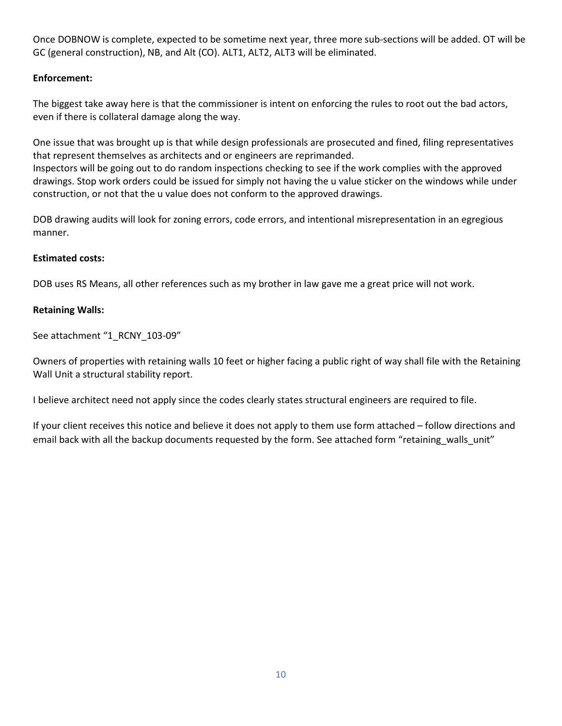Once DOBNOW is complete, expected to be sometime next year, three more sub-sections will be added. OT will be GC (general construction), NB, and Alt (CO). ALT1, ALT2, ALT3 will be eliminated.

### **Enforcement:**

The biggest take away here is that the commissioner is intent on enforcing the rules to root out the bad actors, even if there is collateral damage along the way.

One issue that was brought up is that while design professionals are prosecuted and fined, filing representatives that represent themselves as architects and or engineers are reprimanded. Inspectors will be going out to do random inspections checking to see if the work complies with the approved drawings. Stop work orders could be issued for simply not having the u value sticker on the windows while under construction, or not that the u value does not conform to the approved drawings.

DOB drawing audits will look for zoning errors, code errors, and intentional misrepresentation in an egregious manner.

### **Estimated costs:**

DOB uses RS Means, all other references such as my brother in law gave me a great price will not work.

### **Retaining Walls:**

See attachment "1\_RCNY\_103-09"

Owners of properties with retaining walls 10 feet or higher facing a public right of way shall file with the Retaining Wall Unit a structural stability report.

I believe architect need not apply since the codes clearly states structural engineers are required to file.

If your client receives this notice and believe it does not apply to them use form attached – follow directions and email back with all the backup documents requested by the form. See attached form "retaining walls unit"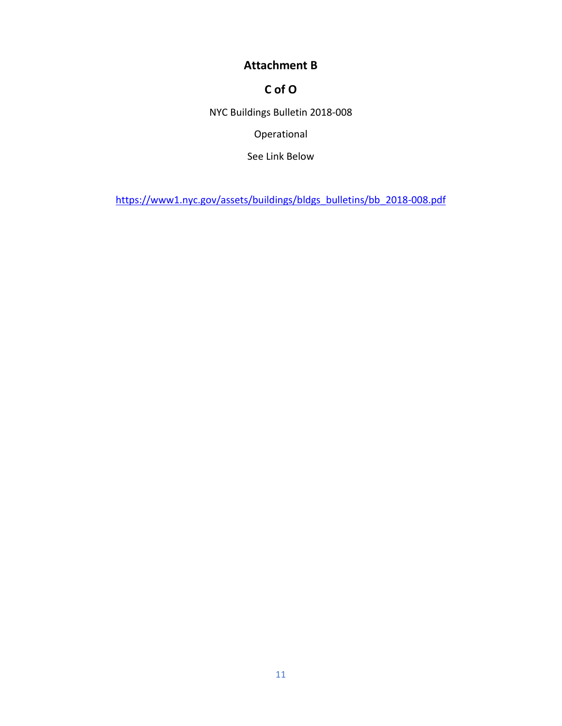# **Attachment B**

# **C of O**

NYC Buildings Bulletin 2018-008

Operational

See Link Below

[https://www1.nyc.gov/assets/buildings/bldgs\\_bulletins/bb\\_2018-008.pdf](https://www1.nyc.gov/assets/buildings/bldgs_bulletins/bb_2018-008.pdf)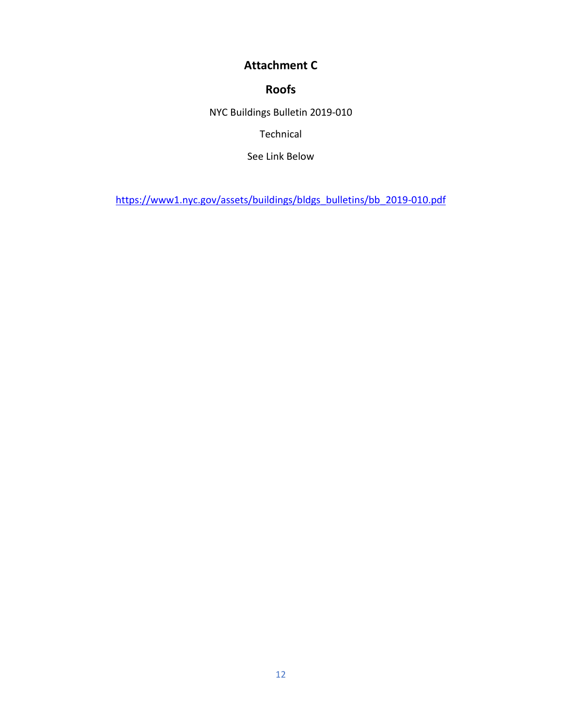# **Attachment C**

# **Roofs**

NYC Buildings Bulletin 2019-010

Technical

See Link Below

[https://www1.nyc.gov/assets/buildings/bldgs\\_bulletins/bb\\_2019-010.pdf](https://www1.nyc.gov/assets/buildings/bldgs_bulletins/bb_2019-010.pdf)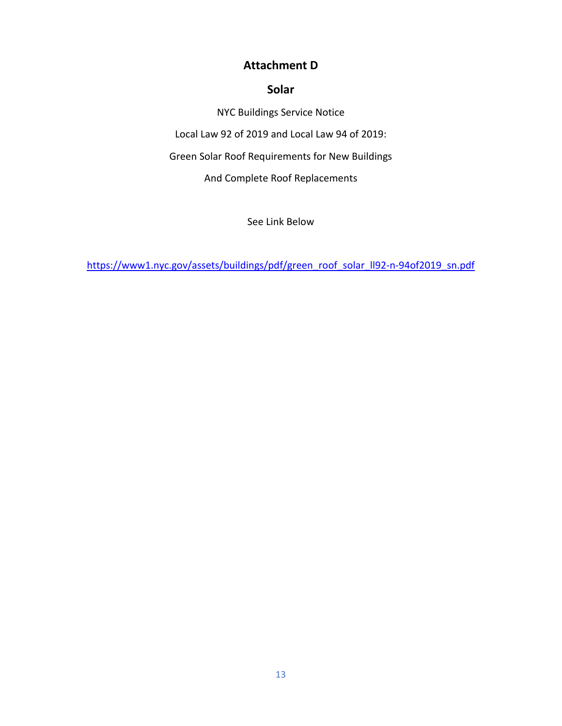# **Attachment D**

# **Solar**

NYC Buildings Service Notice Local Law 92 of 2019 and Local Law 94 of 2019: Green Solar Roof Requirements for New Buildings And Complete Roof Replacements

See Link Below

[https://www1.nyc.gov/assets/buildings/pdf/green\\_roof\\_solar\\_ll92-n-94of2019\\_sn.pdf](https://www1.nyc.gov/assets/buildings/pdf/green_roof_solar_ll92-n-94of2019_sn.pdf)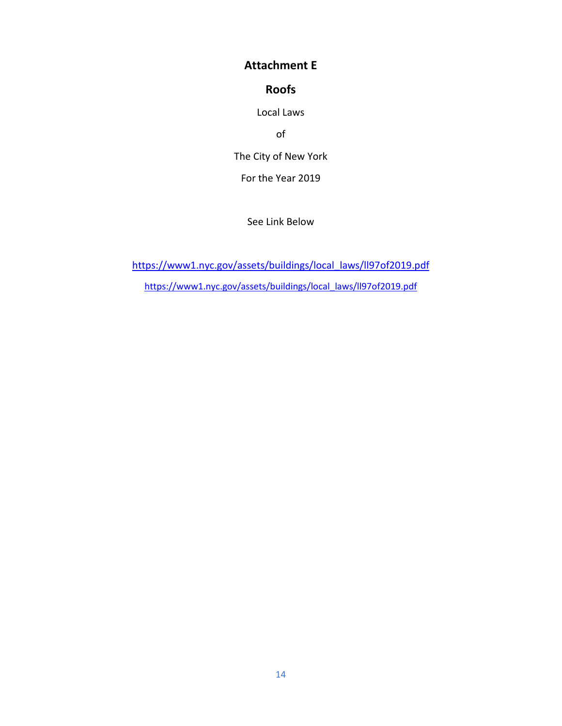# **Attachment E**

# **Roofs**

Local Laws

of

The City of New York

For the Year 2019

See Link Below

[https://www1.nyc.gov/assets/buildings/local\\_laws/ll97of2019.pdf](https://www1.nyc.gov/assets/buildings/local_laws/ll97of2019.pdf) [https://www1.nyc.gov/assets/buildings/local\\_laws/ll97of2019.pdf](https://www1.nyc.gov/assets/buildings/local_laws/ll97of2019.pdf)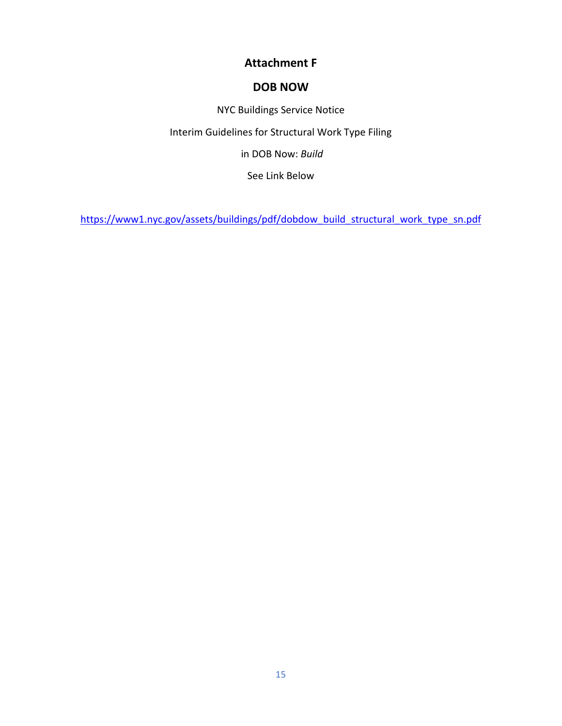# **Attachment F**

# **DOB NOW**

NYC Buildings Service Notice

Interim Guidelines for Structural Work Type Filing

in DOB Now: *Build*

See Link Below

[https://www1.nyc.gov/assets/buildings/pdf/dobdow\\_build\\_structural\\_work\\_type\\_sn.pdf](https://www1.nyc.gov/assets/buildings/pdf/dobdow_build_structural_work_type_sn.pdf)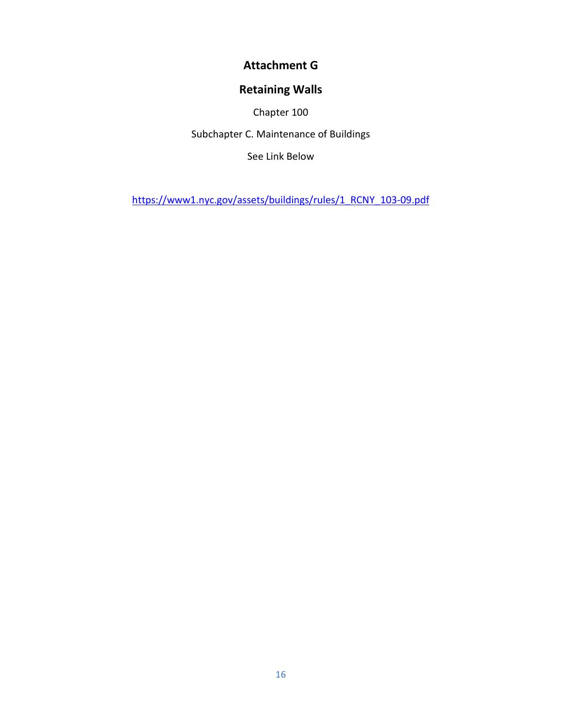# **Attachment G**

# **Retaining Walls**

Chapter 100

Subchapter C. Maintenance of Buildings

See Link Below

[https://www1.nyc.gov/assets/buildings/rules/1\\_RCNY\\_103-09.pdf](https://www1.nyc.gov/assets/buildings/rules/1_RCNY_103-09.pdf)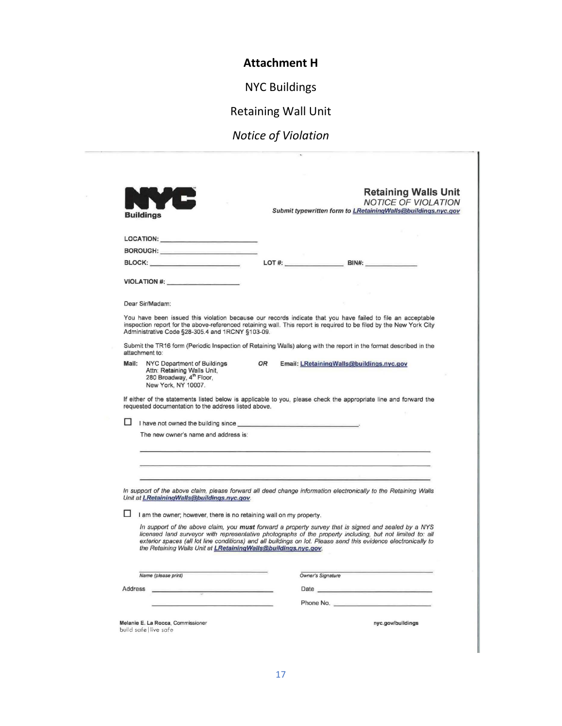**Attachment H**

NYC Buildings

Retaining Wall Unit

# *Notice of Violation*

 $\alpha$ 

|         | W<br><b>Buildings</b>                                                                                                                                                                                                                                                        | <b>Retaining Walls Unit</b><br><b>NOTICE OF VIOLATION</b><br>Submit typewritten form to LRetainingWalls@buildings.nyc.gov                                                                                                                                                                                                            |
|---------|------------------------------------------------------------------------------------------------------------------------------------------------------------------------------------------------------------------------------------------------------------------------------|--------------------------------------------------------------------------------------------------------------------------------------------------------------------------------------------------------------------------------------------------------------------------------------------------------------------------------------|
|         | LOCATION: New York Products and the Contract of the Contract of the Contract of the Contract of the Contract of the Contract of the Contract of the Contract of the Contract of the Contract of the Contract of the Contract o                                               |                                                                                                                                                                                                                                                                                                                                      |
|         | BOROUGH: Provided and the contract of the contract of the contract of the contract of the contract of the contract of the contract of the contract of the contract of the contract of the contract of the contract of the cont                                               |                                                                                                                                                                                                                                                                                                                                      |
|         | BLOCK: __________________________                                                                                                                                                                                                                                            | LOT #: $\qquad \qquad$ BIN#:                                                                                                                                                                                                                                                                                                         |
|         | VIOLATION #:                                                                                                                                                                                                                                                                 |                                                                                                                                                                                                                                                                                                                                      |
|         |                                                                                                                                                                                                                                                                              |                                                                                                                                                                                                                                                                                                                                      |
|         | Dear Sir/Madam:                                                                                                                                                                                                                                                              |                                                                                                                                                                                                                                                                                                                                      |
|         | Administrative Code §28-305.4 and 1RCNY §103-09.                                                                                                                                                                                                                             | You have been issued this violation because our records indicate that you have failed to file an acceptable<br>inspection report for the above-referenced retaining wall. This report is required to be filed by the New York City                                                                                                   |
|         | attachment to:                                                                                                                                                                                                                                                               | Submit the TR16 form (Periodic Inspection of Retaining Walls) along with the report in the format described in the                                                                                                                                                                                                                   |
| Mail:   | NYC Department of Buildings<br>OR<br>Attn: Retaining Walls Unit,<br>280 Broadway, 4th Floor,<br>New York, NY 10007.                                                                                                                                                          | Email: LRetainingWalls@buildings.nyc.gov                                                                                                                                                                                                                                                                                             |
|         | I have not owned the building since <b>substantial contract of the set of the set of the set of the set of the set of the set of the set of the set of the set of the set of the set of the set of the set of the set of the set</b><br>The new owner's name and address is: | <u> La componente de la componente de la componente de la componente de la componente de la componente de la compo</u>                                                                                                                                                                                                               |
|         | Unit at LRetainingWalls@buildings.nyc.gov.                                                                                                                                                                                                                                   | <u> 1980 - An Aonaichte ann an Caobhair an Comhair an Chomhair ann an Chomhair an Chomhair an Chomhair an Chomhair </u><br>In support of the above claim, please forward all deed change information electronically to the Retaining Walls                                                                                           |
|         | I am the owner; however, there is no retaining wall on my property.                                                                                                                                                                                                          |                                                                                                                                                                                                                                                                                                                                      |
|         | the Retaining Walls Unit at LRetaining Walls@buildings.nyc.gov.                                                                                                                                                                                                              | In support of the above claim, you must forward a property survey that is signed and sealed by a NYS<br>licensed land surveyor with representative photographs of the property including, but not limited to: all<br>exterior spaces (all lot line conditions) and all buildings on lot. Please send this evidence electronically to |
|         |                                                                                                                                                                                                                                                                              |                                                                                                                                                                                                                                                                                                                                      |
|         | Name (please print)                                                                                                                                                                                                                                                          | Owner's Signature                                                                                                                                                                                                                                                                                                                    |
| Address |                                                                                                                                                                                                                                                                              | Date enter the contract of the contract of the contract of the contract of the contract of the contract of the                                                                                                                                                                                                                       |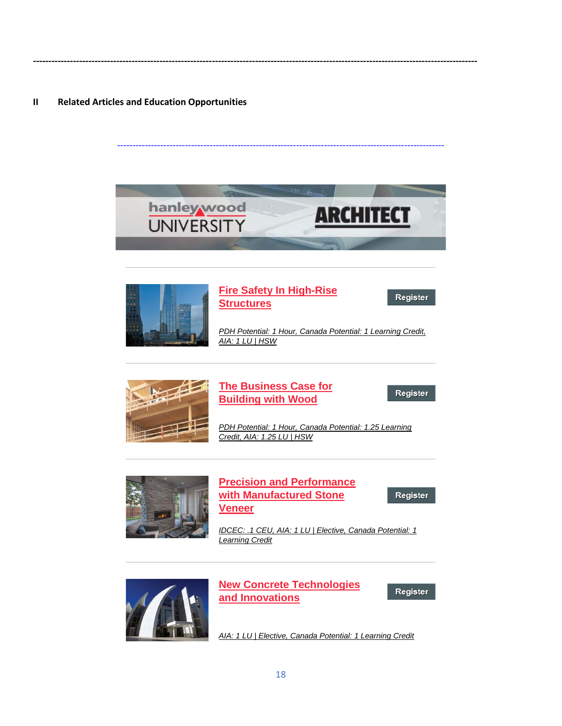#### **II Related Articles and Education Opportunities**



----------------------------------------------------------------------------------------------------------

**------------------------------------------------------------------------------------------------------------------------------------------------**



# **[Fire Safety In High-Rise](https://linkprotect.cudasvc.com/url?a=http%3a%2f%2fclick1.e.hanleywood-media.com%2fmyszbympcqdlsdtyltgdylmddmldqstzjcncvjbysyqtp_rtkgrwjpcgtvvjgvjj.html%3fa%3dbesnard%2540dzco.com%26b%3dHWU_EBMGHWUN721155_Update_Newsletter_121719%2b%2b%2b%2b%2b%2b&c=E,1,Pq4mJn1IJJOHYbwjoIFKK8PhrolO8vGTHECK8pk8gvlyWYIcGMFM4PIw4NIxy0vi0nMuuZWjKX5n4uHqX1n0YlWz6yu-kQ4ac1p99RD6bw,,&typo=1)  [Structures](https://linkprotect.cudasvc.com/url?a=http%3a%2f%2fclick1.e.hanleywood-media.com%2fmyszbympcqdlsdtyltgdylmddmldqstzjcncvjbysyqtp_rtkgrwjpcgtvvjgvjj.html%3fa%3dbesnard%2540dzco.com%26b%3dHWU_EBMGHWUN721155_Update_Newsletter_121719%2b%2b%2b%2b%2b%2b&c=E,1,Pq4mJn1IJJOHYbwjoIFKK8PhrolO8vGTHECK8pk8gvlyWYIcGMFM4PIw4NIxy0vi0nMuuZWjKX5n4uHqX1n0YlWz6yu-kQ4ac1p99RD6bw,,&typo=1)**

Register

*[PDH Potential: 1 Hour, Canada Potential: 1 Learning Credit,](https://linkprotect.cudasvc.com/url?a=http%3a%2f%2fclick1.e.hanleywood-media.com%2fzrsgwpvfrmlkdlbpkbjlpkvllvklmdbgcrsrqcwpdpmsr_rtkgrwjpcgtvvjgvjj.html%3fa%3dbesnard%2540dzco.com%26b%3dHWU_EBMGHWUN721155_Update_Newsletter_121719%2b%2b%2b%2b%2b%2b&c=E,1,HWBdNT9vEusozCmf54jca54u2YBAuX4bsj_aMONy8gytRopV_FbR0rkFNH7ZMcMBZ4MYZuQmb1zPj8N4Yqc7eNgfdJniFG2FGs9RCl_R&typo=1)  [AIA: 1 LU | HSW](https://linkprotect.cudasvc.com/url?a=http%3a%2f%2fclick1.e.hanleywood-media.com%2fzrsgwpvfrmlkdlbpkbjlpkvllvklmdbgcrsrqcwpdpmsr_rtkgrwjpcgtvvjgvjj.html%3fa%3dbesnard%2540dzco.com%26b%3dHWU_EBMGHWUN721155_Update_Newsletter_121719%2b%2b%2b%2b%2b%2b&c=E,1,HWBdNT9vEusozCmf54jca54u2YBAuX4bsj_aMONy8gytRopV_FbR0rkFNH7ZMcMBZ4MYZuQmb1zPj8N4Yqc7eNgfdJniFG2FGs9RCl_R&typo=1)*



# **[The Business Case for](https://linkprotect.cudasvc.com/url?a=http%3a%2f%2fclick1.e.hanleywood-media.com%2fuhwzpwvchqfsmfgwsgbfwsvffvsfqmgzjhnhkjpwmwqnw_rtkgrwjpcgtvvjgvjj.html%3fa%3dbesnard%2540dzco.com%26b%3dHWU_EBMGHWUN721155_Update_Newsletter_121719%2b%2b%2b%2b%2b%2b&c=E,1,wVW_EocJyWr77-qU8P0YEZCTLJkBhzLEln55Lh6Zptx8n-THOOs2rQJ7XOHsbAB6DN-O6gaEc44yqrNeeZnAbLPsl0olFYULB-aL1eQDJg,,&typo=1)  [Building with Wood](https://linkprotect.cudasvc.com/url?a=http%3a%2f%2fclick1.e.hanleywood-media.com%2fuhwzpwvchqfsmfgwsgbfwsvffvsfqmgzjhnhkjpwmwqnw_rtkgrwjpcgtvvjgvjj.html%3fa%3dbesnard%2540dzco.com%26b%3dHWU_EBMGHWUN721155_Update_Newsletter_121719%2b%2b%2b%2b%2b%2b&c=E,1,wVW_EocJyWr77-qU8P0YEZCTLJkBhzLEln55Lh6Zptx8n-THOOs2rQJ7XOHsbAB6DN-O6gaEc44yqrNeeZnAbLPsl0olFYULB-aL1eQDJg,,&typo=1)**

Register

*[PDH Potential: 1 Hour, Canada Potential: 1.25 Learning](https://linkprotect.cudasvc.com/url?a=http%3a%2f%2fclick1.e.hanleywood-media.com%2fnqqcrfgkqypnjptfnthpfngppgnpyjtcbqdqmbrfjfydd_rtkgrwjpcgtvvjgvjj.html%3fa%3dbesnard%2540dzco.com%26b%3dHWU_EBMGHWUN721155_Update_Newsletter_121719%2b%2b%2b%2b%2b%2b&c=E,1,ipn4KijgeWQGlKQBqfO9oqKMK6G4IjZeDSXuClZycA5RQpUtpG6HHnDCwAvDmc5o-KimK_xue5aAf8QgreplAh3VqVqMHXRWiBqLWVqeDqaXzD0g6z-oCdekGweo&typo=1)  [Credit, AIA: 1.25 LU | HSW](https://linkprotect.cudasvc.com/url?a=http%3a%2f%2fclick1.e.hanleywood-media.com%2fnqqcrfgkqypnjptfnthpfngppgnpyjtcbqdqmbrfjfydd_rtkgrwjpcgtvvjgvjj.html%3fa%3dbesnard%2540dzco.com%26b%3dHWU_EBMGHWUN721155_Update_Newsletter_121719%2b%2b%2b%2b%2b%2b&c=E,1,ipn4KijgeWQGlKQBqfO9oqKMK6G4IjZeDSXuClZycA5RQpUtpG6HHnDCwAvDmc5o-KimK_xue5aAf8QgreplAh3VqVqMHXRWiBqLWVqeDqaXzD0g6z-oCdekGweo&typo=1)*



### **[Precision and Performance](https://linkprotect.cudasvc.com/url?a=http%3a%2f%2fclick1.e.hanleywood-media.com%2fgwmjlgsmcytdntkgdkqtgdsttsdtynkjfcrcpflgngyrl_rtkgrwjpcgtvvjgvjj.html%3fa%3dbesnard%2540dzco.com%26b%3dHWU_EBMGHWUN721155_Update_Newsletter_121719%2b%2b%2b%2b%2b%2b&c=E,1,17WAiZOUgzQr9DQ5tHnpONcUeDbHE8x3LXfW_xqKtkqK_zFy-CIut9KX_9UhjkAe3t9qahN_2Il84K_yJDx_64zOfRTfor_Kea8vtoxHB46vzrjrVsPieDQ,&typo=1)  [with Manufactured Stone](https://linkprotect.cudasvc.com/url?a=http%3a%2f%2fclick1.e.hanleywood-media.com%2fgwmjlgsmcytdntkgdkqtgdsttsdtynkjfcrcpflgngyrl_rtkgrwjpcgtvvjgvjj.html%3fa%3dbesnard%2540dzco.com%26b%3dHWU_EBMGHWUN721155_Update_Newsletter_121719%2b%2b%2b%2b%2b%2b&c=E,1,17WAiZOUgzQr9DQ5tHnpONcUeDbHE8x3LXfW_xqKtkqK_zFy-CIut9KX_9UhjkAe3t9qahN_2Il84K_yJDx_64zOfRTfor_Kea8vtoxHB46vzrjrVsPieDQ,&typo=1)  [Veneer](https://linkprotect.cudasvc.com/url?a=http%3a%2f%2fclick1.e.hanleywood-media.com%2fgwmjlgsmcytdntkgdkqtgdsttsdtynkjfcrcpflgngyrl_rtkgrwjpcgtvvjgvjj.html%3fa%3dbesnard%2540dzco.com%26b%3dHWU_EBMGHWUN721155_Update_Newsletter_121719%2b%2b%2b%2b%2b%2b&c=E,1,17WAiZOUgzQr9DQ5tHnpONcUeDbHE8x3LXfW_xqKtkqK_zFy-CIut9KX_9UhjkAe3t9qahN_2Il84K_yJDx_64zOfRTfor_Kea8vtoxHB46vzrjrVsPieDQ,&typo=1)**

Register

*[IDCEC: .1 CEU, AIA: 1 LU | Elective, Canada Potential: 1](https://linkprotect.cudasvc.com/url?a=http%3a%2f%2fclick1.e.hanleywood-media.com%2fchjkjpvmtdlfqlgpfgrlpfvllvfldqgkstctzsjpqpdcm_rtkgrwjpcgtvvjgvjj.html%3fa%3dbesnard%2540dzco.com%26b%3dHWU_EBMGHWUN721155_Update_Newsletter_121719%2b%2b%2b%2b%2b%2b&c=E,1,YjeraFkovI51Bee8FVIN226ZbVDc25EnBtwEebyXjdXig5M5iax99GQDKHVuR9uI4BBiUyXkzaxhFdo4Bmi_O7jFZu__j9yhJLkdP_qUK15ijCXmLpFXaxZC&typo=1)  [Learning Credit](https://linkprotect.cudasvc.com/url?a=http%3a%2f%2fclick1.e.hanleywood-media.com%2fchjkjpvmtdlfqlgpfgrlpfvllvfldqgkstctzsjpqpdcm_rtkgrwjpcgtvvjgvjj.html%3fa%3dbesnard%2540dzco.com%26b%3dHWU_EBMGHWUN721155_Update_Newsletter_121719%2b%2b%2b%2b%2b%2b&c=E,1,YjeraFkovI51Bee8FVIN226ZbVDc25EnBtwEebyXjdXig5M5iax99GQDKHVuR9uI4BBiUyXkzaxhFdo4Bmi_O7jFZu__j9yhJLkdP_qUK15ijCXmLpFXaxZC&typo=1)*



**[New Concrete Technologies](https://linkprotect.cudasvc.com/url?a=http%3a%2f%2fclick1.e.hanleywood-media.com%2frwkhtnylcrvpwvknpkfvnpyvvypvrwkhscgcbstnwnrvc_rtkgrwjpcgtvvjgvjj.html%3fa%3dbesnard%2540dzco.com%26b%3dHWU_EBMGHWUN721155_Update_Newsletter_121719%2b%2b%2b%2b%2b%2b&c=E,1,yD6_PYMYbMFclSThJlgZxdsBbiilUJQA3XcX85RDkaZ0lwCRHQo-_H6HEBRp4T0DUm1LXDcAYKBeGz2dCLDQvhkv1yKRRhlYVQq70xszAq0wkeheOYRXV2gB9Z49&typo=1)  [and Innovations](https://linkprotect.cudasvc.com/url?a=http%3a%2f%2fclick1.e.hanleywood-media.com%2frwkhtnylcrvpwvknpkfvnpyvvypvrwkhscgcbstnwnrvc_rtkgrwjpcgtvvjgvjj.html%3fa%3dbesnard%2540dzco.com%26b%3dHWU_EBMGHWUN721155_Update_Newsletter_121719%2b%2b%2b%2b%2b%2b&c=E,1,yD6_PYMYbMFclSThJlgZxdsBbiilUJQA3XcX85RDkaZ0lwCRHQo-_H6HEBRp4T0DUm1LXDcAYKBeGz2dCLDQvhkv1yKRRhlYVQq70xszAq0wkeheOYRXV2gB9Z49&typo=1)**

Register

*[AIA: 1 LU | Elective, Canada Potential: 1 Learning Credit](https://linkprotect.cudasvc.com/url?a=http%3a%2f%2fclick1.e.hanleywood-media.com%2fomzcrjsqtzldmlkjdkgljdsllsdlzmkcptwtnprjmjzlj_rtkgrwjpcgtvvjgvjj.html%3fa%3dbesnard%2540dzco.com%26b%3dHWU_EBMGHWUN721155_Update_Newsletter_121719%2b%2b%2b%2b%2b%2b&c=E,1,MoyjeaGhPJTsvV7RfK2H6scduwmGzlMgu3FE1Cy50-p8Me5v5pKDovPC8Cr5fRxwR2wIPYMFee_ccrWyzdZTnnmcxlCJRNEMGBoYdI1ooswje1SRaHtWNu4A7A,,&typo=1)*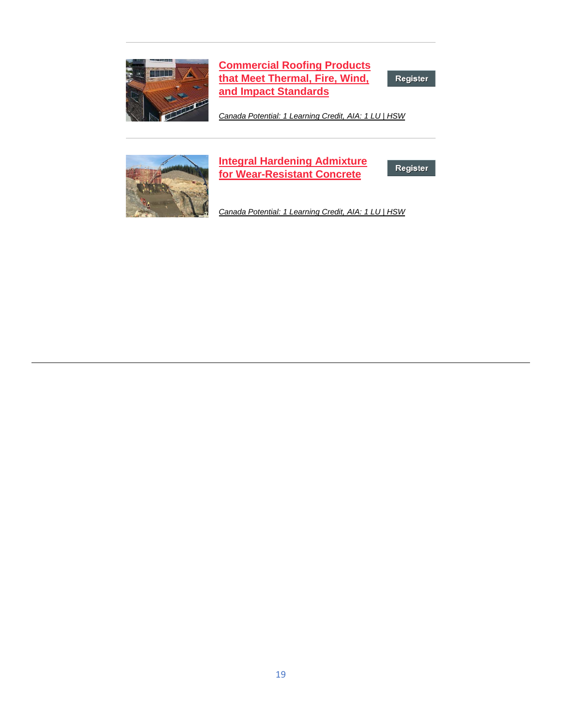

**[Commercial Roofing Products](https://linkprotect.cudasvc.com/url?a=http%3a%2f%2fclick1.e.hanleywood-media.com%2fqhnjpsydmwfthfvstvqfstyffytfwhvjcmgmrcpshswfg_rtkgrwjpcgtvvjgvjj.html%3fa%3dbesnard%2540dzco.com%26b%3dHWU_EBMGHWUN721155_Update_Newsletter_121719%2b%2b%2b%2b%2b%2b&c=E,1,5SfmbVBs3e9FWOQqWqXxLap5dgIHZclM2u98o48xs8sQWLSlpzeeJVTYa9YB-SwMrn0oiR8cVCk48l6dQvAEXXYHuU9NzJvwgv578Ywt5far_CcKae3E-ycO&typo=1)  [that Meet Thermal, Fire, Wind,](https://linkprotect.cudasvc.com/url?a=http%3a%2f%2fclick1.e.hanleywood-media.com%2fqhnjpsydmwfthfvstvqfstyffytfwhvjcmgmrcpshswfg_rtkgrwjpcgtvvjgvjj.html%3fa%3dbesnard%2540dzco.com%26b%3dHWU_EBMGHWUN721155_Update_Newsletter_121719%2b%2b%2b%2b%2b%2b&c=E,1,5SfmbVBs3e9FWOQqWqXxLap5dgIHZclM2u98o48xs8sQWLSlpzeeJVTYa9YB-SwMrn0oiR8cVCk48l6dQvAEXXYHuU9NzJvwgv578Ywt5far_CcKae3E-ycO&typo=1)  [and Impact Standards](https://linkprotect.cudasvc.com/url?a=http%3a%2f%2fclick1.e.hanleywood-media.com%2fqhnjpsydmwfthfvstvqfstyffytfwhvjcmgmrcpshswfg_rtkgrwjpcgtvvjgvjj.html%3fa%3dbesnard%2540dzco.com%26b%3dHWU_EBMGHWUN721155_Update_Newsletter_121719%2b%2b%2b%2b%2b%2b&c=E,1,5SfmbVBs3e9FWOQqWqXxLap5dgIHZclM2u98o48xs8sQWLSlpzeeJVTYa9YB-SwMrn0oiR8cVCk48l6dQvAEXXYHuU9NzJvwgv578Ywt5far_CcKae3E-ycO&typo=1)**

Register

*[Canada Potential: 1 Learning Credit, AIA: 1 LU | HSW](https://linkprotect.cudasvc.com/url?a=http%3a%2f%2fclick1.e.hanleywood-media.com%2fsslzsvwpbrktlkcvtcfkvtwkkwtkrlczgbmbhgsvlvrks_rtkgrwjpcgtvvjgvjj.html%3fa%3dbesnard%2540dzco.com%26b%3dHWU_EBMGHWUN721155_Update_Newsletter_121719%2b%2b%2b%2b%2b%2b&c=E,1,z1NZFocS4H4reDh9TLMkfNlQiyQkpQWBq5GACZMStz6Whjg5Z5PS3-IS948eOzeejANv-jYYXSjkkOeGuoV0ZzXUdZv6Gr9Wa1XROnjRq3sBL11wBvp6Z4ganw,,&typo=1)*



# **[Integral Hardening Admixture](https://linkprotect.cudasvc.com/url?a=http%3a%2f%2fclick1.e.hanleywood-media.com%2fsskzsvwpbrktlkcvtcfkvtwkkwtkrlczgbmbhgsvlvrkp_rtkgrwjpcgtvvjgvjj.html%3fa%3dbesnard%2540dzco.com%26b%3dHWU_EBMGHWUN721155_Update_Newsletter_121719%2b%2b%2b%2b%2b%2b&c=E,1,Kt3H83QurW39ufsxRvc0rHpFJqtsZsxElIPXphoAujrVyyZspWx-fdZmdXa1NHAz4Dn_Z-xwSkkeEyh8gzq9SGg2zO4S88W8PwBZSLuubHo,&typo=1)  [for Wear-Resistant Concrete](https://linkprotect.cudasvc.com/url?a=http%3a%2f%2fclick1.e.hanleywood-media.com%2fsskzsvwpbrktlkcvtcfkvtwkkwtkrlczgbmbhgsvlvrkp_rtkgrwjpcgtvvjgvjj.html%3fa%3dbesnard%2540dzco.com%26b%3dHWU_EBMGHWUN721155_Update_Newsletter_121719%2b%2b%2b%2b%2b%2b&c=E,1,Kt3H83QurW39ufsxRvc0rHpFJqtsZsxElIPXphoAujrVyyZspWx-fdZmdXa1NHAz4Dn_Z-xwSkkeEyh8gzq9SGg2zO4S88W8PwBZSLuubHo,&typo=1)**

Register

*[Canada Potential: 1 Learning Credit, AIA: 1 LU | HSW](https://linkprotect.cudasvc.com/url?a=http%3a%2f%2fclick1.e.hanleywood-media.com%2fwgvtnvkjdlsbzswvbwqsvbksskbslzwthdgdmhnvzvlnd_rtkgrwjpcgtvvjgvjj.html%3fa%3dbesnard%2540dzco.com%26b%3dHWU_EBMGHWUN721155_Update_Newsletter_121719%2b%2b%2b%2b%2b%2b&c=E,1,TMiGx-aY-9amE0mU-alNXAAvTR6xGfBi-nAEq4ANXNh5nigdJQN-9U2pIZF8FXkDhHc7U9fruQw1-LMKJP0EvPmz_G0OKB56UhIsyZUYCX5fLa6UPltd2A,,&typo=1)*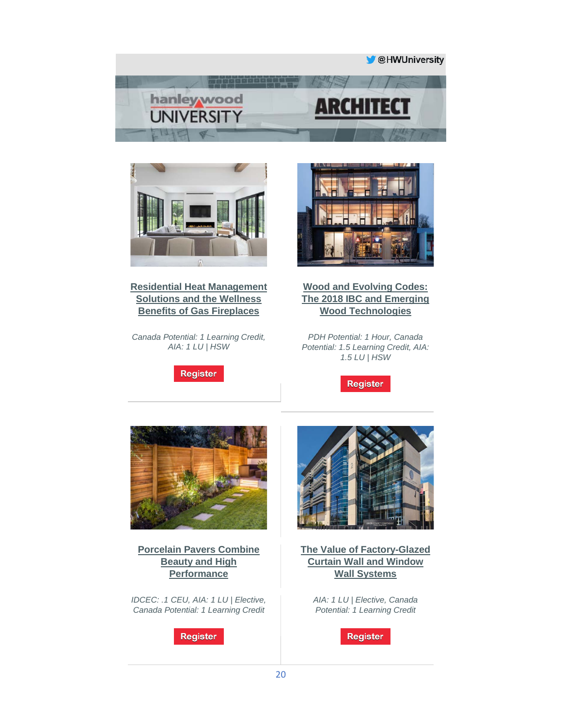



**[Residential Heat Management](https://linkprotect.cudasvc.com/url?a=http%3a%2f%2fclick1.e.hanleywood-media.com%2fxbsnjhkcdvbtsbphtplbhtkbbktbvspnydrdqyjhjjsbs_mdtnqswlcnbdcbydww.html%3fa%3dbesnard%2540dzco.com%26b%3dHWU_EBMGHWUN721155_Update_Newsletter_121219%2b%2b%2b%2b%2b%2b&c=E,1,5VKuhIqkf_UFWBLYEFNUTQH30NuAslQhK6eRiG4zga0N1K1OTLlvKTm34fEgUZSaX7UP4pZ9KY6tz7iGDBuxUW2kAOLpJwJLQVisDoKFRTgskWzXhVJt_CAAzA,,&typo=1)  [Solutions and the Wellness](https://linkprotect.cudasvc.com/url?a=http%3a%2f%2fclick1.e.hanleywood-media.com%2fxbsnjhkcdvbtsbphtplbhtkbbktbvspnydrdqyjhjjsbs_mdtnqswlcnbdcbydww.html%3fa%3dbesnard%2540dzco.com%26b%3dHWU_EBMGHWUN721155_Update_Newsletter_121219%2b%2b%2b%2b%2b%2b&c=E,1,5VKuhIqkf_UFWBLYEFNUTQH30NuAslQhK6eRiG4zga0N1K1OTLlvKTm34fEgUZSaX7UP4pZ9KY6tz7iGDBuxUW2kAOLpJwJLQVisDoKFRTgskWzXhVJt_CAAzA,,&typo=1)  [Benefits of Gas Fireplaces](https://linkprotect.cudasvc.com/url?a=http%3a%2f%2fclick1.e.hanleywood-media.com%2fxbsnjhkcdvbtsbphtplbhtkbbktbvspnydrdqyjhjjsbs_mdtnqswlcnbdcbydww.html%3fa%3dbesnard%2540dzco.com%26b%3dHWU_EBMGHWUN721155_Update_Newsletter_121219%2b%2b%2b%2b%2b%2b&c=E,1,5VKuhIqkf_UFWBLYEFNUTQH30NuAslQhK6eRiG4zga0N1K1OTLlvKTm34fEgUZSaX7UP4pZ9KY6tz7iGDBuxUW2kAOLpJwJLQVisDoKFRTgskWzXhVJt_CAAzA,,&typo=1)**

*Canada Potential: 1 Learning Credit, AIA: 1 LU | HSW*





### **[Wood and Evolving Codes:](https://linkprotect.cudasvc.com/url?a=http%3a%2f%2fclick1.e.hanleywood-media.com%2fmttzbympcqdlsdtyltgdylmddmldqstzjcncvjbybbsbc_mdtnqswlcnbdcbydww.html%3fa%3dbesnard%2540dzco.com%26b%3dHWU_EBMGHWUN721155_Update_Newsletter_121219%2b%2b%2b%2b%2b%2b&c=E,1,QWzya3GN-uIxqhK_XY6-kEcFvpiokE24u8Cd1cV2xDFzmtJgLDUHvjvONGHp2SaaTOgPlneRyyeCCcSUQMvsiNwAE0B77B4aCrdjyW-qpA,,&typo=1)  [The 2018 IBC and Emerging](https://linkprotect.cudasvc.com/url?a=http%3a%2f%2fclick1.e.hanleywood-media.com%2fmttzbympcqdlsdtyltgdylmddmldqstzjcncvjbybbsbc_mdtnqswlcnbdcbydww.html%3fa%3dbesnard%2540dzco.com%26b%3dHWU_EBMGHWUN721155_Update_Newsletter_121219%2b%2b%2b%2b%2b%2b&c=E,1,QWzya3GN-uIxqhK_XY6-kEcFvpiokE24u8Cd1cV2xDFzmtJgLDUHvjvONGHp2SaaTOgPlneRyyeCCcSUQMvsiNwAE0B77B4aCrdjyW-qpA,,&typo=1)  [Wood Technologies](https://linkprotect.cudasvc.com/url?a=http%3a%2f%2fclick1.e.hanleywood-media.com%2fmttzbympcqdlsdtyltgdylmddmldqstzjcncvjbybbsbc_mdtnqswlcnbdcbydww.html%3fa%3dbesnard%2540dzco.com%26b%3dHWU_EBMGHWUN721155_Update_Newsletter_121219%2b%2b%2b%2b%2b%2b&c=E,1,QWzya3GN-uIxqhK_XY6-kEcFvpiokE24u8Cd1cV2xDFzmtJgLDUHvjvONGHp2SaaTOgPlneRyyeCCcSUQMvsiNwAE0B77B4aCrdjyW-qpA,,&typo=1)**

*PDH Potential: 1 Hour, Canada Potential: 1.5 Learning Credit, AIA: 1.5 LU | HSW*

**Register** 



**[Porcelain Pavers Combine](https://linkprotect.cudasvc.com/url?a=http%3a%2f%2fclick1.e.hanleywood-media.com%2ftbldmhsplzckjcbhkbfchksccskczjbdtlvlrtmhmmjmb_mdtnqswlcnbdcbydww.html%3fa%3dbesnard%2540dzco.com%26b%3dHWU_EBMGHWUN721155_Update_Newsletter_121219%2b%2b%2b%2b%2b%2b&c=E,1,dEAahBRd50kKxioIJz-AvY2Bwk7dFpViZrhP6qICiUqpP8pRwfBzomRNAGTBUuZllBqmdScipahHXn8kSXh0PY5m4GXwZxemdd4PLqf6mw,,&typo=1)  [Beauty and High](https://linkprotect.cudasvc.com/url?a=http%3a%2f%2fclick1.e.hanleywood-media.com%2ftbldmhsplzckjcbhkbfchksccskczjbdtlvlrtmhmmjmb_mdtnqswlcnbdcbydww.html%3fa%3dbesnard%2540dzco.com%26b%3dHWU_EBMGHWUN721155_Update_Newsletter_121219%2b%2b%2b%2b%2b%2b&c=E,1,dEAahBRd50kKxioIJz-AvY2Bwk7dFpViZrhP6qICiUqpP8pRwfBzomRNAGTBUuZllBqmdScipahHXn8kSXh0PY5m4GXwZxemdd4PLqf6mw,,&typo=1)  [Performance](https://linkprotect.cudasvc.com/url?a=http%3a%2f%2fclick1.e.hanleywood-media.com%2ftbldmhsplzckjcbhkbfchksccskczjbdtlvlrtmhmmjmb_mdtnqswlcnbdcbydww.html%3fa%3dbesnard%2540dzco.com%26b%3dHWU_EBMGHWUN721155_Update_Newsletter_121219%2b%2b%2b%2b%2b%2b&c=E,1,dEAahBRd50kKxioIJz-AvY2Bwk7dFpViZrhP6qICiUqpP8pRwfBzomRNAGTBUuZllBqmdScipahHXn8kSXh0PY5m4GXwZxemdd4PLqf6mw,,&typo=1)**

*IDCEC: .1 CEU, AIA: 1 LU | Elective, Canada Potential: 1 Learning Credit*

**Register** 



**[The Value of Factory-Glazed](https://linkprotect.cudasvc.com/url?a=http%3a%2f%2fclick1.e.hanleywood-media.com%2fbfbscfvzplqybqjfyjkqfyvqqvyqlbjsnpgpmncfccbcc_mdtnqswlcnbdcbydww.html%3fa%3dbesnard%2540dzco.com%26b%3dHWU_EBMGHWUN721155_Update_Newsletter_121219%2b%2b%2b%2b%2b%2b&c=E,1,tAFqCPg7QOHUTPD0X1_ypbWJytXaqVb639o13SIoDDzg4qFHfwvCowahSV9lm4Mw0QhE_OPhROGdQewmQPQY4Lyf5e5sr1DzFB5Ou4y3HcMmnAU,&typo=1)  [Curtain Wall and Window](https://linkprotect.cudasvc.com/url?a=http%3a%2f%2fclick1.e.hanleywood-media.com%2fbfbscfvzplqybqjfyjkqfyvqqvyqlbjsnpgpmncfccbcc_mdtnqswlcnbdcbydww.html%3fa%3dbesnard%2540dzco.com%26b%3dHWU_EBMGHWUN721155_Update_Newsletter_121219%2b%2b%2b%2b%2b%2b&c=E,1,tAFqCPg7QOHUTPD0X1_ypbWJytXaqVb639o13SIoDDzg4qFHfwvCowahSV9lm4Mw0QhE_OPhROGdQewmQPQY4Lyf5e5sr1DzFB5Ou4y3HcMmnAU,&typo=1)  [Wall Systems](https://linkprotect.cudasvc.com/url?a=http%3a%2f%2fclick1.e.hanleywood-media.com%2fbfbscfvzplqybqjfyjkqfyvqqvyqlbjsnpgpmncfccbcc_mdtnqswlcnbdcbydww.html%3fa%3dbesnard%2540dzco.com%26b%3dHWU_EBMGHWUN721155_Update_Newsletter_121219%2b%2b%2b%2b%2b%2b&c=E,1,tAFqCPg7QOHUTPD0X1_ypbWJytXaqVb639o13SIoDDzg4qFHfwvCowahSV9lm4Mw0QhE_OPhROGdQewmQPQY4Lyf5e5sr1DzFB5Ou4y3HcMmnAU,&typo=1)**

> *AIA: 1 LU | Elective, Canada Potential: 1 Learning Credit*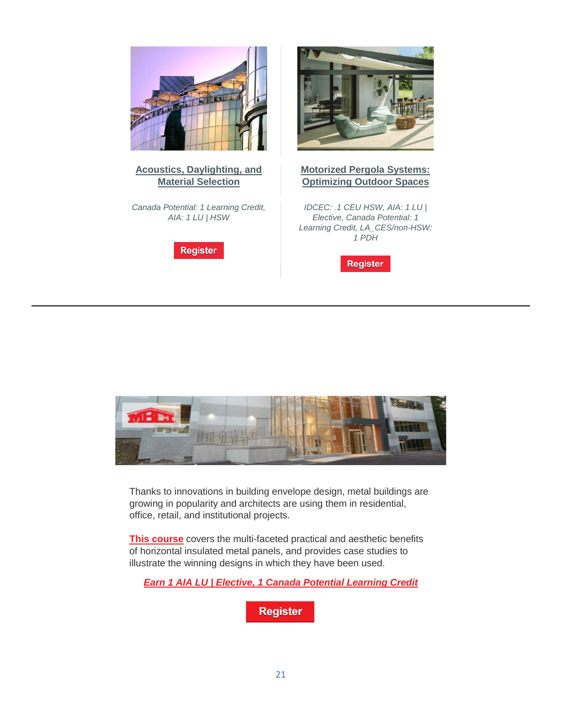

#### **[Acoustics, Daylighting, and](https://linkprotect.cudasvc.com/url?a=http%3a%2f%2fclick1.e.hanleywood-media.com%2fctgkjpvmtdlfqlgpfgrlpfvllvfldqgkstctzsjpjjqqh_mdtnqswlcnbdcbydww.html%3fa%3dbesnard%2540dzco.com%26b%3dHWU_EBMGHWUN721155_Update_Newsletter_121219%2b%2b%2b%2b%2b%2b&c=E,1,xRLTkY5hXo6iiXbf8KrtuB6WfFKbYapVU4IpPhM_Uky7Fo7lZHRgrXtrTJHQWZXmvJmYtf6E5m_Jdu5SSSRgkKsDVOwnXjHn-MhVRFPuTA,,&typo=1)  [Material Selection](https://linkprotect.cudasvc.com/url?a=http%3a%2f%2fclick1.e.hanleywood-media.com%2fctgkjpvmtdlfqlgpfgrlpfvllvfldqgkstctzsjpjjqqh_mdtnqswlcnbdcbydww.html%3fa%3dbesnard%2540dzco.com%26b%3dHWU_EBMGHWUN721155_Update_Newsletter_121219%2b%2b%2b%2b%2b%2b&c=E,1,xRLTkY5hXo6iiXbf8KrtuB6WfFKbYapVU4IpPhM_Uky7Fo7lZHRgrXtrTJHQWZXmvJmYtf6E5m_Jdu5SSSRgkKsDVOwnXjHn-MhVRFPuTA,,&typo=1)**

*Canada Potential: 1 Learning Credit, AIA: 1 LU | HSW*





#### **[Motorized Pergola Systems:](https://linkprotect.cudasvc.com/url?a=http%3a%2f%2fclick1.e.hanleywood-media.com%2fottcrjsqtzldmlkjdkgljdsllsdlzmkcptwtnprjrrmmj_mdtnqswlcnbdcbydww.html%3fa%3dbesnard%2540dzco.com%26b%3dHWU_EBMGHWUN721155_Update_Newsletter_121219%2b%2b%2b%2b%2b%2b&c=E,1,ty132JOJb8Hx0rFgiI8uqhd6I1KSXFXKPdB6v6bgDffIiSZMEUJDyN50TIWg4ilSUrnrKdGAU7gwGlV_BcUZiCDvtJSCaB5Nr__8QjWN3T_yWosnZ3aUWoY,&typo=1)  [Optimizing Outdoor Spaces](https://linkprotect.cudasvc.com/url?a=http%3a%2f%2fclick1.e.hanleywood-media.com%2fottcrjsqtzldmlkjdkgljdsllsdlzmkcptwtnprjrrmmj_mdtnqswlcnbdcbydww.html%3fa%3dbesnard%2540dzco.com%26b%3dHWU_EBMGHWUN721155_Update_Newsletter_121219%2b%2b%2b%2b%2b%2b&c=E,1,ty132JOJb8Hx0rFgiI8uqhd6I1KSXFXKPdB6v6bgDffIiSZMEUJDyN50TIWg4ilSUrnrKdGAU7gwGlV_BcUZiCDvtJSCaB5Nr__8QjWN3T_yWosnZ3aUWoY,&typo=1)**

*IDCEC: .1 CEU HSW, AIA: 1 LU | Elective, Canada Potential: 1 Learning Credit, LA\_CES/non-HSW: 1 PDH*





Thanks to innovations in building envelope design, metal buildings are growing in popularity and architects are using them in residential, office, retail, and institutional projects.

**[This course](https://linkprotect.cudasvc.com/url?a=http%3a%2f%2fclick1.communication.hanleywood.com%2fomjcrjsqtzldmlkjdkgljdsllsdlzmkcptwtnprjrlztw_inbmhzgwymndgznhgg.html%3fa%3dbesnard%2540dzco.com&c=E,1,7jonhFUNDXu3iULNaAbBANnJDjF9Cf7VQeL2hPSYuCOaHYp90wIsRWMulD8CBINuJO3J15equ4zhj5J8pFknyf0_QyayBGENLvibLZk_OvupQEKC&typo=1)** covers the multi-faceted practical and aesthetic benefits of horizontal insulated metal panels, and provides case studies to illustrate the winning designs in which they have been used.

*[Earn 1 AIA LU | Elective, 1 Canada Potential Learning Credit](https://linkprotect.cudasvc.com/url?a=http%3a%2f%2fclick1.communication.hanleywood.com%2fomzcrjsqtzldmlkjdkgljdsllsdlzmkcptwtnprjrlztl_inbmhzgwymndgznhgg.html%3fa%3dbesnard%2540dzco.com&c=E,1,oN2TSSPS7R4uaZ4a47CEWrjeUFc2Z7G_novSvjc3ED0YzkZb1TeEXxefQBdsPKPzBwZP9F4ez45iEajN6xlO66gHvxirK8i8gyXozVjCMxki-Z-lfxYE6xCPig,,&typo=1)*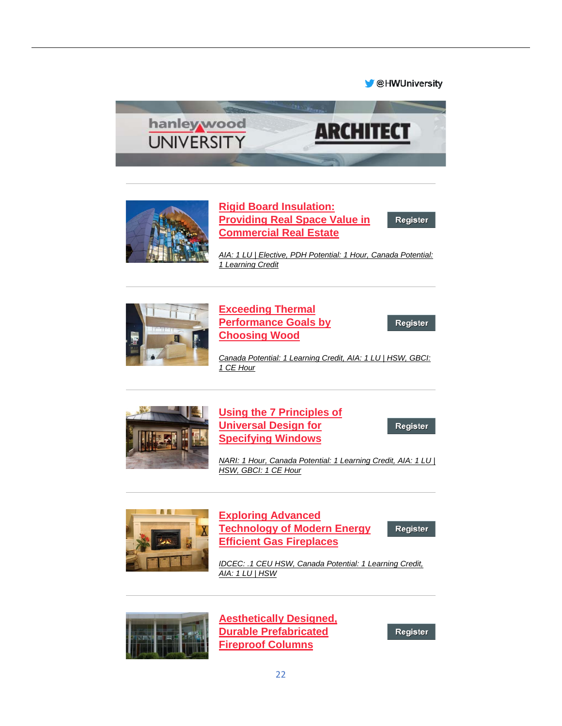#### **M** @HWUniversity





# **[Rigid Board Insulation:](https://linkprotect.cudasvc.com/url?a=http%3a%2f%2fclick1.e.hanleywood-media.com%2fykspbqyvslgncgfqnfrgqnyggynglcfpwskstwbqbfvbg_zrpsmdzkrswlzzzdzz.html%3fa%3dbesnard%2540dzco.com%26b%3dHWU_EBMGHWUN721155_Update_Newsletter_121019%2b%2b%2b%2b%2b%2b&c=E,1,m_5PC1gXvKSIQhrHPAzaKS7prbIXR19iEhNtF5x48ri4q-c2bOU6DPXkc7XT8yiAsByzlkLr2Ww7Bd7o5bItR2LV1UqaKisDRyNuhrYaHuKFrBSXaM9tVJYzmDM,&typo=1)  [Providing Real Space Value in](https://linkprotect.cudasvc.com/url?a=http%3a%2f%2fclick1.e.hanleywood-media.com%2fykspbqyvslgncgfqnfrgqnyggynglcfpwskstwbqbfvbg_zrpsmdzkrswlzzzdzz.html%3fa%3dbesnard%2540dzco.com%26b%3dHWU_EBMGHWUN721155_Update_Newsletter_121019%2b%2b%2b%2b%2b%2b&c=E,1,m_5PC1gXvKSIQhrHPAzaKS7prbIXR19iEhNtF5x48ri4q-c2bOU6DPXkc7XT8yiAsByzlkLr2Ww7Bd7o5bItR2LV1UqaKisDRyNuhrYaHuKFrBSXaM9tVJYzmDM,&typo=1)  [Commercial Real Estate](https://linkprotect.cudasvc.com/url?a=http%3a%2f%2fclick1.e.hanleywood-media.com%2fykspbqyvslgncgfqnfrgqnyggynglcfpwskstwbqbfvbg_zrpsmdzkrswlzzzdzz.html%3fa%3dbesnard%2540dzco.com%26b%3dHWU_EBMGHWUN721155_Update_Newsletter_121019%2b%2b%2b%2b%2b%2b&c=E,1,m_5PC1gXvKSIQhrHPAzaKS7prbIXR19iEhNtF5x48ri4q-c2bOU6DPXkc7XT8yiAsByzlkLr2Ww7Bd7o5bItR2LV1UqaKisDRyNuhrYaHuKFrBSXaM9tVJYzmDM,&typo=1)**

*[AIA: 1 LU | Elective, PDH Potential: 1 Hour, Canada Potential:](https://linkprotect.cudasvc.com/url?a=http%3a%2f%2fclick1.e.hanleywood-media.com%2ftbpdmhsplzckjcbhkbfchksccskczjbdtlvlrtmhmbpmj_zrpsmdzkrswlzzzdzz.html%3fa%3dbesnard%2540dzco.com%26b%3dHWU_EBMGHWUN721155_Update_Newsletter_121019%2b%2b%2b%2b%2b%2b&c=E,1,KiVdrTvRX-6XYnA7FGQsMc2dZZfyVfmfLhCPau67aIetS9hflWJpZwKzgtxr7OSSweuig84Z-L03QAr-0pM0_XYF5ByEwvOu-2gUHYGsZdEeGTvhPtdnNEI,&typo=1)  [1 Learning Credit](https://linkprotect.cudasvc.com/url?a=http%3a%2f%2fclick1.e.hanleywood-media.com%2ftbpdmhsplzckjcbhkbfchksccskczjbdtlvlrtmhmbpmj_zrpsmdzkrswlzzzdzz.html%3fa%3dbesnard%2540dzco.com%26b%3dHWU_EBMGHWUN721155_Update_Newsletter_121019%2b%2b%2b%2b%2b%2b&c=E,1,KiVdrTvRX-6XYnA7FGQsMc2dZZfyVfmfLhCPau67aIetS9hflWJpZwKzgtxr7OSSweuig84Z-L03QAr-0pM0_XYF5ByEwvOu-2gUHYGsZdEeGTvhPtdnNEI,&typo=1)*



### **[Exceeding Thermal](https://linkprotect.cudasvc.com/url?a=http%3a%2f%2fclick1.e.hanleywood-media.com%2fzmlgwpvfrmlkdlbpkbjlpkvllvklmdbgcrsrqcwpwbfdz_zrpsmdzkrswlzzzdzz.html%3fa%3dbesnard%2540dzco.com%26b%3dHWU_EBMGHWUN721155_Update_Newsletter_121019%2b%2b%2b%2b%2b%2b&c=E,1,JyJH-Sw0oiJfABYEqplKkQITGb8GXfPO0cGL9lLk4na1jqhYrD9uan3rcdZOt7p1gpDhPVAY7tTGyVZd5B3Yd8AkOHJSDXMEmH52qPm-4iRC-NphXKqa_5xERrg,&typo=1)  [Performance Goals by](https://linkprotect.cudasvc.com/url?a=http%3a%2f%2fclick1.e.hanleywood-media.com%2fzmlgwpvfrmlkdlbpkbjlpkvllvklmdbgcrsrqcwpwbfdz_zrpsmdzkrswlzzzdzz.html%3fa%3dbesnard%2540dzco.com%26b%3dHWU_EBMGHWUN721155_Update_Newsletter_121019%2b%2b%2b%2b%2b%2b&c=E,1,JyJH-Sw0oiJfABYEqplKkQITGb8GXfPO0cGL9lLk4na1jqhYrD9uan3rcdZOt7p1gpDhPVAY7tTGyVZd5B3Yd8AkOHJSDXMEmH52qPm-4iRC-NphXKqa_5xERrg,&typo=1)  [Choosing Wood](https://linkprotect.cudasvc.com/url?a=http%3a%2f%2fclick1.e.hanleywood-media.com%2fzmlgwpvfrmlkdlbpkbjlpkvllvklmdbgcrsrqcwpwbfdz_zrpsmdzkrswlzzzdzz.html%3fa%3dbesnard%2540dzco.com%26b%3dHWU_EBMGHWUN721155_Update_Newsletter_121019%2b%2b%2b%2b%2b%2b&c=E,1,JyJH-Sw0oiJfABYEqplKkQITGb8GXfPO0cGL9lLk4na1jqhYrD9uan3rcdZOt7p1gpDhPVAY7tTGyVZd5B3Yd8AkOHJSDXMEmH52qPm-4iRC-NphXKqa_5xERrg,&typo=1)**

Register

Register

*[Canada Potential: 1 Learning Credit, AIA: 1 LU | HSW, GBCI:](https://linkprotect.cudasvc.com/url?a=http%3a%2f%2fclick1.e.hanleywood-media.com%2fqwvjpsydmwfthfvstvqfstyffytfwhvjcmgmrcpspvdhw_zrpsmdzkrswlzzzdzz.html%3fa%3dbesnard%2540dzco.com%26b%3dHWU_EBMGHWUN721155_Update_Newsletter_121019%2b%2b%2b%2b%2b%2b&c=E,1,0gDYmPDIh85Hz_YVswRS5CStazn9CqRg9fhEivGZ-rQQEkX3Q38eK_7C8QVLG2PcAznOjr5s3jXySl95x8O-s2iIcB4UuwOpCGMYHs9CJyb4E0zYxw,,&typo=1)  [1 CE Hour](https://linkprotect.cudasvc.com/url?a=http%3a%2f%2fclick1.e.hanleywood-media.com%2fqwvjpsydmwfthfvstvqfstyffytfwhvjcmgmrcpspvdhw_zrpsmdzkrswlzzzdzz.html%3fa%3dbesnard%2540dzco.com%26b%3dHWU_EBMGHWUN721155_Update_Newsletter_121019%2b%2b%2b%2b%2b%2b&c=E,1,0gDYmPDIh85Hz_YVswRS5CStazn9CqRg9fhEivGZ-rQQEkX3Q38eK_7C8QVLG2PcAznOjr5s3jXySl95x8O-s2iIcB4UuwOpCGMYHs9CJyb4E0zYxw,,&typo=1)*



**[Using the 7 Principles of](https://linkprotect.cudasvc.com/url?a=http%3a%2f%2fclick1.e.hanleywood-media.com%2fihhtnvpcyhdwzdbvwbkdvwpddpwdhzbtrymyqrnvnbczb_zrpsmdzkrswlzzzdzz.html%3fa%3dbesnard%2540dzco.com%26b%3dHWU_EBMGHWUN721155_Update_Newsletter_121019%2b%2b%2b%2b%2b%2b&c=E,1,Iyl8QJO9uBMdZuLe2fh24rbeZVYgJu2CoYgoRzR0VAq1UbNp0WfL_032SVoSxXhus3O8F2pWC164q7pt8nAC9-Zzw7ncvKbHRcUTXoWhJMn8pBI,&typo=1)  [Universal Design for](https://linkprotect.cudasvc.com/url?a=http%3a%2f%2fclick1.e.hanleywood-media.com%2fihhtnvpcyhdwzdbvwbkdvwpddpwdhzbtrymyqrnvnbczb_zrpsmdzkrswlzzzdzz.html%3fa%3dbesnard%2540dzco.com%26b%3dHWU_EBMGHWUN721155_Update_Newsletter_121019%2b%2b%2b%2b%2b%2b&c=E,1,Iyl8QJO9uBMdZuLe2fh24rbeZVYgJu2CoYgoRzR0VAq1UbNp0WfL_032SVoSxXhus3O8F2pWC164q7pt8nAC9-Zzw7ncvKbHRcUTXoWhJMn8pBI,&typo=1)  [Specifying Windows](https://linkprotect.cudasvc.com/url?a=http%3a%2f%2fclick1.e.hanleywood-media.com%2fihhtnvpcyhdwzdbvwbkdvwpddpwdhzbtrymyqrnvnbczb_zrpsmdzkrswlzzzdzz.html%3fa%3dbesnard%2540dzco.com%26b%3dHWU_EBMGHWUN721155_Update_Newsletter_121019%2b%2b%2b%2b%2b%2b&c=E,1,Iyl8QJO9uBMdZuLe2fh24rbeZVYgJu2CoYgoRzR0VAq1UbNp0WfL_032SVoSxXhus3O8F2pWC164q7pt8nAC9-Zzw7ncvKbHRcUTXoWhJMn8pBI,&typo=1)**

Register

*[NARI: 1 Hour, Canada Potential: 1 Learning Credit, AIA: 1 LU |](https://linkprotect.cudasvc.com/url?a=http%3a%2f%2fclick1.e.hanleywood-media.com%2fpqfrcjwvhqlbdlyjbytljbwllwblqdyrghmhkgcjcyvdl_zrpsmdzkrswlzzzdzz.html%3fa%3dbesnard%2540dzco.com%26b%3dHWU_EBMGHWUN721155_Update_Newsletter_121019%2b%2b%2b%2b%2b%2b&c=E,1,89LVnyazzLNz_yiaBL-CcwbAa-Auu2remqiprBhB_dMIbFcBu792B1bWoKrEXxHatXKqwYfvp7F3mj5kxYpESxV9cz4sIIketI7GbVPncqko&typo=1)  [HSW, GBCI: 1 CE Hour](https://linkprotect.cudasvc.com/url?a=http%3a%2f%2fclick1.e.hanleywood-media.com%2fpqfrcjwvhqlbdlyjbytljbwllwblqdyrghmhkgcjcyvdl_zrpsmdzkrswlzzzdzz.html%3fa%3dbesnard%2540dzco.com%26b%3dHWU_EBMGHWUN721155_Update_Newsletter_121019%2b%2b%2b%2b%2b%2b&c=E,1,89LVnyazzLNz_yiaBL-CcwbAa-Auu2remqiprBhB_dMIbFcBu792B1bWoKrEXxHatXKqwYfvp7F3mj5kxYpESxV9cz4sIIketI7GbVPncqko&typo=1)*



# **[Exploring Advanced](https://linkprotect.cudasvc.com/url?a=http%3a%2f%2fclick1.e.hanleywood-media.com%2fqmhjpsydmwfthfvstvqfstyffytfwhvjcmgmrcpspvdhh_zrpsmdzkrswlzzzdzz.html%3fa%3dbesnard%2540dzco.com%26b%3dHWU_EBMGHWUN721155_Update_Newsletter_121019%2b%2b%2b%2b%2b%2b&c=E,1,f9PUspDK3z8ZrKtBGjHD0KrfU7GEz5EKfYhLg79xzFH09PBdDxaC1YoKHciX2ldShZS1_VLgRM9YwsA9U_vKufv5NQrQhoBMZ8XE2k51uVo2vjFfSMhV1g,,&typo=1)  [Technology of Modern Energy](https://linkprotect.cudasvc.com/url?a=http%3a%2f%2fclick1.e.hanleywood-media.com%2fqmhjpsydmwfthfvstvqfstyffytfwhvjcmgmrcpspvdhh_zrpsmdzkrswlzzzdzz.html%3fa%3dbesnard%2540dzco.com%26b%3dHWU_EBMGHWUN721155_Update_Newsletter_121019%2b%2b%2b%2b%2b%2b&c=E,1,f9PUspDK3z8ZrKtBGjHD0KrfU7GEz5EKfYhLg79xzFH09PBdDxaC1YoKHciX2ldShZS1_VLgRM9YwsA9U_vKufv5NQrQhoBMZ8XE2k51uVo2vjFfSMhV1g,,&typo=1)  [Efficient Gas Fireplaces](https://linkprotect.cudasvc.com/url?a=http%3a%2f%2fclick1.e.hanleywood-media.com%2fqmhjpsydmwfthfvstvqfstyffytfwhvjcmgmrcpspvdhh_zrpsmdzkrswlzzzdzz.html%3fa%3dbesnard%2540dzco.com%26b%3dHWU_EBMGHWUN721155_Update_Newsletter_121019%2b%2b%2b%2b%2b%2b&c=E,1,f9PUspDK3z8ZrKtBGjHD0KrfU7GEz5EKfYhLg79xzFH09PBdDxaC1YoKHciX2ldShZS1_VLgRM9YwsA9U_vKufv5NQrQhoBMZ8XE2k51uVo2vjFfSMhV1g,,&typo=1)**

Register

*[IDCEC: .1 CEU HSW, Canada Potential: 1 Learning Credit,](https://linkprotect.cudasvc.com/url?a=http%3a%2f%2fclick1.e.hanleywood-media.com%2flhjfwgshmknrqndgrdpngrsnnsrnkqdflmjmclwgwdhhz_zrpsmdzkrswlzzzdzz.html%3fa%3dbesnard%2540dzco.com%26b%3dHWU_EBMGHWUN721155_Update_Newsletter_121019%2b%2b%2b%2b%2b%2b&c=E,1,zhNtDQO_yHyFQlyxqFbXXhPG4Cc0ijHSNwvRu-7q-VbXhh5FO351JtPxekTQ0KN60XB6n5fIdMbunnd8qRawGwgV-7VGhiXMC6mxgQmOINs,&typo=1)  [AIA: 1 LU | HSW](https://linkprotect.cudasvc.com/url?a=http%3a%2f%2fclick1.e.hanleywood-media.com%2flhjfwgshmknrqndgrdpngrsnnsrnkqdflmjmclwgwdhhz_zrpsmdzkrswlzzzdzz.html%3fa%3dbesnard%2540dzco.com%26b%3dHWU_EBMGHWUN721155_Update_Newsletter_121019%2b%2b%2b%2b%2b%2b&c=E,1,zhNtDQO_yHyFQlyxqFbXXhPG4Cc0ijHSNwvRu-7q-VbXhh5FO351JtPxekTQ0KN60XB6n5fIdMbunnd8qRawGwgV-7VGhiXMC6mxgQmOINs,&typo=1)*



**[Aesthetically Designed,](https://linkprotect.cudasvc.com/url?a=http%3a%2f%2fclick1.e.hanleywood-media.com%2fmpyzbympcqdlsdtyltgdylmddmldqstzjcncvjbybtppq_zrpsmdzkrswlzzzdzz.html%3fa%3dbesnard%2540dzco.com%26b%3dHWU_EBMGHWUN721155_Update_Newsletter_121019%2b%2b%2b%2b%2b%2b&c=E,1,YPmDx7uCidjT7PaqBvvzUj9y8z9EgvzhmIGgxDEUCF-KRN0POm1QCafrcT-gZm5Q_YHsKiSB7bYKZgtad9ytFSGZiAYftLz2iDCbLvpCRTJK5JMBSQ,,&typo=1)  [Durable Prefabricated](https://linkprotect.cudasvc.com/url?a=http%3a%2f%2fclick1.e.hanleywood-media.com%2fmpyzbympcqdlsdtyltgdylmddmldqstzjcncvjbybtppq_zrpsmdzkrswlzzzdzz.html%3fa%3dbesnard%2540dzco.com%26b%3dHWU_EBMGHWUN721155_Update_Newsletter_121019%2b%2b%2b%2b%2b%2b&c=E,1,YPmDx7uCidjT7PaqBvvzUj9y8z9EgvzhmIGgxDEUCF-KRN0POm1QCafrcT-gZm5Q_YHsKiSB7bYKZgtad9ytFSGZiAYftLz2iDCbLvpCRTJK5JMBSQ,,&typo=1)  [Fireproof Columns](https://linkprotect.cudasvc.com/url?a=http%3a%2f%2fclick1.e.hanleywood-media.com%2fmpyzbympcqdlsdtyltgdylmddmldqstzjcncvjbybtppq_zrpsmdzkrswlzzzdzz.html%3fa%3dbesnard%2540dzco.com%26b%3dHWU_EBMGHWUN721155_Update_Newsletter_121019%2b%2b%2b%2b%2b%2b&c=E,1,YPmDx7uCidjT7PaqBvvzUj9y8z9EgvzhmIGgxDEUCF-KRN0POm1QCafrcT-gZm5Q_YHsKiSB7bYKZgtad9ytFSGZiAYftLz2iDCbLvpCRTJK5JMBSQ,,&typo=1)**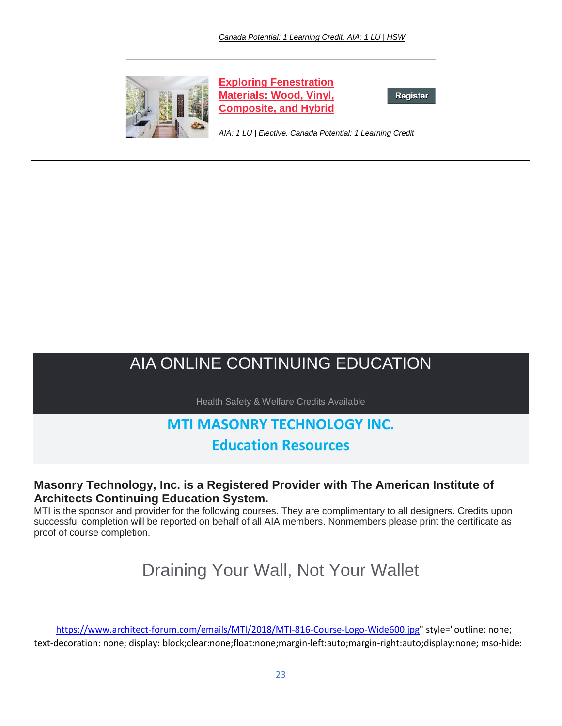

**[Exploring Fenestration](https://linkprotect.cudasvc.com/url?a=http%3a%2f%2fclick1.e.hanleywood-media.com%2fhmflhbjfvqwzmwsbzsrwbzjwwjzwqmsldvcvpdhbhsffw_zrpsmdzkrswlzzzdzz.html%3fa%3dbesnard%2540dzco.com%26b%3dHWU_EBMGHWUN721155_Update_Newsletter_121019%2b%2b%2b%2b%2b%2b&c=E,1,SUF_X00bl8h8VkyWdK_KXJnDuzyisaSn6rmM4FYgb8DQjIm9vhC4E6NbEE0eVEzahIjPE2fyl2oSjq2aLbUEEKklum_Q2Sf98UZq1zadksGOD9Jtgkc,&typo=1)  [Materials: Wood, Vinyl,](https://linkprotect.cudasvc.com/url?a=http%3a%2f%2fclick1.e.hanleywood-media.com%2fhmflhbjfvqwzmwsbzsrwbzjwwjzwqmsldvcvpdhbhsffw_zrpsmdzkrswlzzzdzz.html%3fa%3dbesnard%2540dzco.com%26b%3dHWU_EBMGHWUN721155_Update_Newsletter_121019%2b%2b%2b%2b%2b%2b&c=E,1,SUF_X00bl8h8VkyWdK_KXJnDuzyisaSn6rmM4FYgb8DQjIm9vhC4E6NbEE0eVEzahIjPE2fyl2oSjq2aLbUEEKklum_Q2Sf98UZq1zadksGOD9Jtgkc,&typo=1)  [Composite, and Hybrid](https://linkprotect.cudasvc.com/url?a=http%3a%2f%2fclick1.e.hanleywood-media.com%2fhmflhbjfvqwzmwsbzsrwbzjwwjzwqmsldvcvpdhbhsffw_zrpsmdzkrswlzzzdzz.html%3fa%3dbesnard%2540dzco.com%26b%3dHWU_EBMGHWUN721155_Update_Newsletter_121019%2b%2b%2b%2b%2b%2b&c=E,1,SUF_X00bl8h8VkyWdK_KXJnDuzyisaSn6rmM4FYgb8DQjIm9vhC4E6NbEE0eVEzahIjPE2fyl2oSjq2aLbUEEKklum_Q2Sf98UZq1zadksGOD9Jtgkc,&typo=1)**

Register

*[AIA: 1 LU | Elective, Canada Potential: 1 Learning Credit](https://linkprotect.cudasvc.com/url?a=http%3a%2f%2fclick1.e.hanleywood-media.com%2fhmhlhbjfvqwzmwsbzsrwbzjwwjzwqmsldvcvpdhbhsffm_zrpsmdzkrswlzzzdzz.html%3fa%3dbesnard%2540dzco.com%26b%3dHWU_EBMGHWUN721155_Update_Newsletter_121019%2b%2b%2b%2b%2b%2b&c=E,1,3PJ0TuTQuUaB-13LojW7uXD8uVI85IGGDoQoIakeB_fRQOLgEiELyIHOo3ZRMdtDewFpy7f7a-XuELmLMEKPTItcNtdOwOExGlp9GwnfP3U,&typo=1)*

# AIA ONLINE CONTINUING EDUCATION

Health Safety & Welfare Credits Available

# **MTI MASONRY TECHNOLOGY INC.**

# **Education Resources**

# **Masonry Technology, Inc. is a Registered Provider with The American Institute of Architects Continuing Education System.**

MTI is the sponsor and provider for the following courses. They are complimentary to all designers. Credits upon successful completion will be reported on behalf of all AIA members. Nonmembers please print the certificate as proof of course completion.

# Draining Your Wall, Not Your Wallet

[https://www.architect-forum.com/emails/MTI/2018/MTI-816-Course-Logo-Wide600.jpg"](https://www.architect-forum.com/emails/MTI/2018/MTI-816-Course-Logo-Wide600.jpg) style="outline: none; text-decoration: none; display: block;clear:none;float:none;margin-left:auto;margin-right:auto;display:none; mso-hide: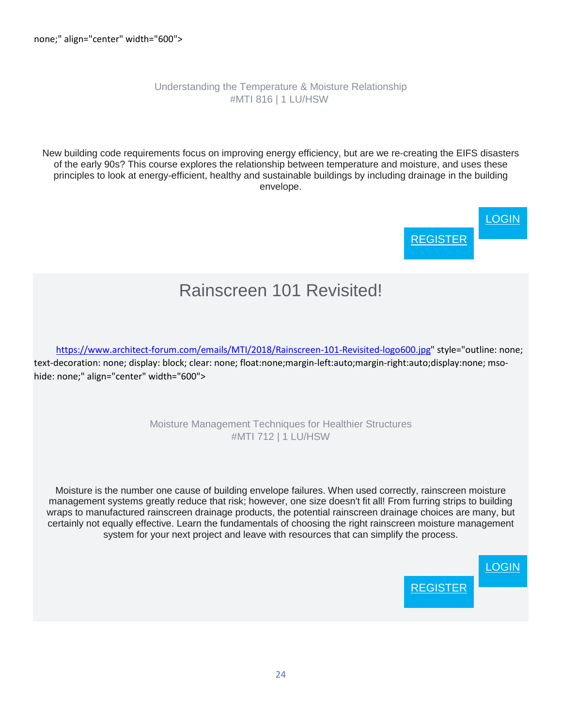### Understanding the Temperature & Moisture Relationship #MTI 816 | 1 LU/HSW

New building code requirements focus on improving energy efficiency, but are we re-creating the EIFS disasters of the early 90s? This course explores the relationship between temperature and moisture, and uses these principles to look at energy-efficient, healthy and sustainable buildings by including drainage in the building envelope.

> **[LOGIN](https://linkprotect.cudasvc.com/url?a=http%3a%2f%2fnewsletter.architect-forum.com%2ft.aspx%3fS%3d1%26ID%3d4739%26NL%3d2%26N%3d1161%26SI%3d2271%26URL%3dhttps%253a%252f%252fwww.mtidry.com%252fusers%252fuser-login%253futm_source%253darchitect-forum&c=E,1,T4-s15jZssAJ-hDcSEr59cUgprUkg37u8JG-fu6HRO-q-wWMyE5pCtvnhbPrlc0mamBPO8yVdmXGs0sNdtnGNEGj0C3SK5tW1LSc6KZhEVeFBlM,&typo=1) [REGISTER](https://linkprotect.cudasvc.com/url?a=http%3a%2f%2fnewsletter.architect-forum.com%2ft.aspx%3fS%3d1%26ID%3d4739%26NL%3d2%26N%3d1161%26SI%3d2271%26URL%3dhttps%253a%252f%252fwww.mtidry.com%252fusers%252fuser-register%253futm_source%253darchitect-forum&c=E,1,ZvurC_8IZiK79u-qPCz0A7SzJvYfPKE8NIqjNrcTIjyxvUMPLHQqu9yoNPd2RGvItZa0QrfRg294Q9kyZE5l4VCEwaYcTCSnbOz3dQvTbdwohziITCS5dKtBMA,,&typo=1)**

# Rainscreen 101 Revisited!

[https://www.architect-forum.com/emails/MTI/2018/Rainscreen-101-Revisited-logo600.jpg"](https://www.architect-forum.com/emails/MTI/2018/Rainscreen-101-Revisited-logo600.jpg) style="outline: none; text-decoration: none; display: block; clear: none; float:none;margin-left:auto;margin-right:auto;display:none; msohide: none;" align="center" width="600">

> Moisture Management Techniques for Healthier Structures #MTI 712 | 1 LU/HSW

Moisture is the number one cause of building envelope failures. When used correctly, rainscreen moisture management systems greatly reduce that risk; however, one size doesn't fit all! From furring strips to building wraps to manufactured rainscreen drainage products, the potential rainscreen drainage choices are many, but certainly not equally effective. Learn the fundamentals of choosing the right rainscreen moisture management system for your next project and leave with resources that can simplify the process.

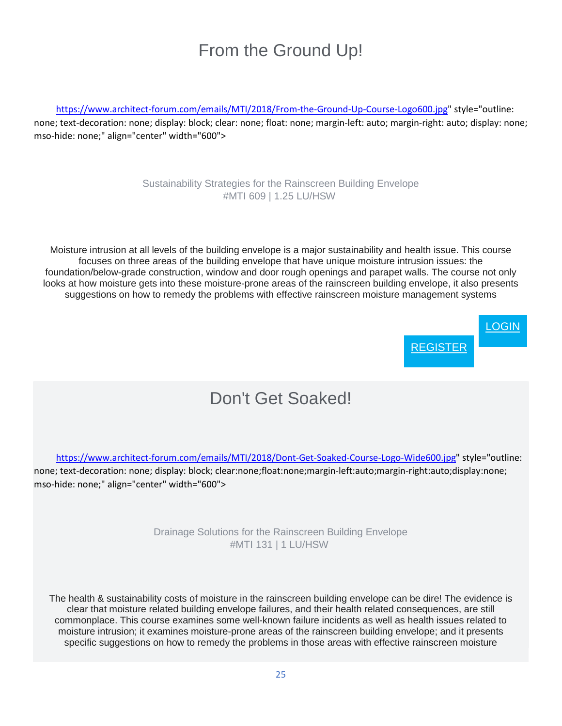# From the Ground Up!

[https://www.architect-forum.com/emails/MTI/2018/From-the-Ground-Up-Course-Logo600.jpg"](https://www.architect-forum.com/emails/MTI/2018/From-the-Ground-Up-Course-Logo600.jpg) style="outline: none; text-decoration: none; display: block; clear: none; float: none; margin-left: auto; margin-right: auto; display: none; mso-hide: none;" align="center" width="600">

### Sustainability Strategies for the Rainscreen Building Envelope #MTI 609 | 1.25 LU/HSW

Moisture intrusion at all levels of the building envelope is a major sustainability and health issue. This course focuses on three areas of the building envelope that have unique moisture intrusion issues: the foundation/below-grade construction, window and door rough openings and parapet walls. The course not only looks at how moisture gets into these moisture-prone areas of the rainscreen building envelope, it also presents suggestions on how to remedy the problems with effective rainscreen moisture management systems



# Don't Get Soaked!

[https://www.architect-forum.com/emails/MTI/2018/Dont-Get-Soaked-Course-Logo-Wide600.jpg"](https://www.architect-forum.com/emails/MTI/2018/Dont-Get-Soaked-Course-Logo-Wide600.jpg) style="outline: none; text-decoration: none; display: block; clear:none;float:none;margin-left:auto;margin-right:auto;display:none; mso-hide: none;" align="center" width="600">

> Drainage Solutions for the Rainscreen Building Envelope #MTI 131 | 1 LU/HSW

The health & sustainability costs of moisture in the rainscreen building envelope can be dire! The evidence is clear that moisture related building envelope failures, and their health related consequences, are still commonplace. This course examines some well-known failure incidents as well as health issues related to moisture intrusion; it examines moisture-prone areas of the rainscreen building envelope; and it presents specific suggestions on how to remedy the problems in those areas with effective rainscreen moisture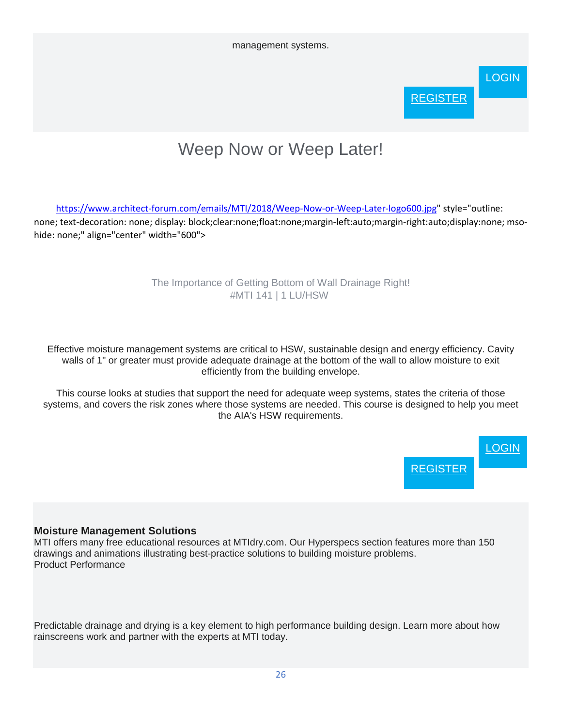management systems.



# Weep Now or Weep Later!

[https://www.architect-forum.com/emails/MTI/2018/Weep-Now-or-Weep-Later-logo600.jpg"](https://www.architect-forum.com/emails/MTI/2018/Weep-Now-or-Weep-Later-logo600.jpg) style="outline: none; text-decoration: none; display: block;clear:none;float:none;margin-left:auto;margin-right:auto;display:none; msohide: none;" align="center" width="600">

### The Importance of Getting Bottom of Wall Drainage Right! #MTI 141 | 1 LU/HSW

Effective moisture management systems are critical to HSW, sustainable design and energy efficiency. Cavity walls of 1" or greater must provide adequate drainage at the bottom of the wall to allow moisture to exit efficiently from the building envelope.

This course looks at studies that support the need for adequate weep systems, states the criteria of those systems, and covers the risk zones where those systems are needed. This course is designed to help you meet the AIA's HSW requirements.



# **Moisture Management Solutions**

MTI offers many free educational resources at MTIdry.com. Our Hyperspecs section features more than 150 drawings and animations illustrating best-practice solutions to building moisture problems. Product Performance

Predictable drainage and drying is a key element to high performance building design. Learn more about how rainscreens work and partner with the experts at MTI today.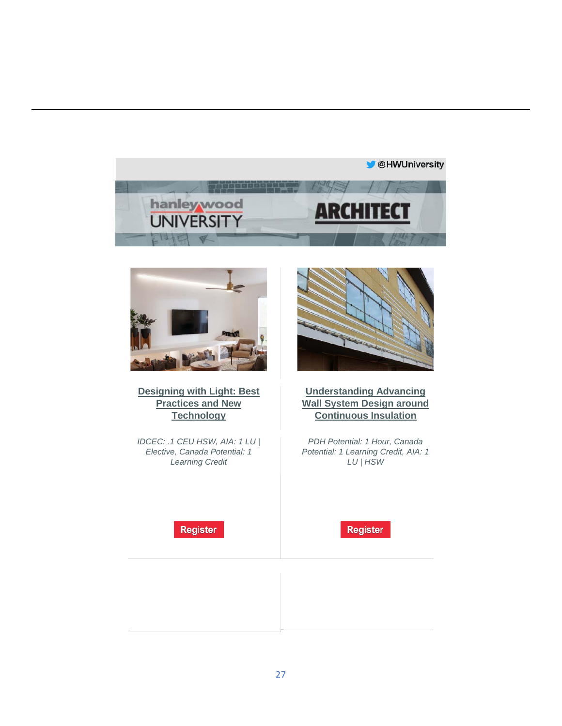



**[Designing with Light: Best](https://linkprotect.cudasvc.com/url?a=http%3a%2f%2fclick1.e.hanleywood-media.com%2fojzcrjsqtzldmlkjdkgljdsllsdlzmkcptwtnprjrtfwq_hmccqmnzvchccwmmnn.html%3fa%3dbesnard%2540dzco.com%26b%3dHWU_EBMGHWUN721155_Update_Newsletter_120519%2b%2b%2b%2b%2b%2b&c=E,1,k78YpILKHCUopJmm7HRtlJnUdz7qYwuJJG63jowkXT3KqmS7fqw-yYzbFJZpKvUjW2aDC8_zBsidgoLUF8mazbpnGXAsjpV9P0b7JXfBCFymQYY,&typo=1)  [Practices and New](https://linkprotect.cudasvc.com/url?a=http%3a%2f%2fclick1.e.hanleywood-media.com%2fojzcrjsqtzldmlkjdkgljdsllsdlzmkcptwtnprjrtfwq_hmccqmnzvchccwmmnn.html%3fa%3dbesnard%2540dzco.com%26b%3dHWU_EBMGHWUN721155_Update_Newsletter_120519%2b%2b%2b%2b%2b%2b&c=E,1,k78YpILKHCUopJmm7HRtlJnUdz7qYwuJJG63jowkXT3KqmS7fqw-yYzbFJZpKvUjW2aDC8_zBsidgoLUF8mazbpnGXAsjpV9P0b7JXfBCFymQYY,&typo=1)  [Technology](https://linkprotect.cudasvc.com/url?a=http%3a%2f%2fclick1.e.hanleywood-media.com%2fojzcrjsqtzldmlkjdkgljdsllsdlzmkcptwtnprjrtfwq_hmccqmnzvchccwmmnn.html%3fa%3dbesnard%2540dzco.com%26b%3dHWU_EBMGHWUN721155_Update_Newsletter_120519%2b%2b%2b%2b%2b%2b&c=E,1,k78YpILKHCUopJmm7HRtlJnUdz7qYwuJJG63jowkXT3KqmS7fqw-yYzbFJZpKvUjW2aDC8_zBsidgoLUF8mazbpnGXAsjpV9P0b7JXfBCFymQYY,&typo=1)**

*IDCEC: .1 CEU HSW, AIA: 1 LU | Elective, Canada Potential: 1 Learning Credit*



### **[Understanding Advancing](https://linkprotect.cudasvc.com/url?a=http%3a%2f%2fclick1.e.hanleywood-media.com%2fofmcrjsqtzldmlkjdkgljdsllsdlzmkcptwtnprjrtflz_hmccqmnzvchccwmmnn.html%3fa%3dbesnard%2540dzco.com%26b%3dHWU_EBMGHWUN721155_Update_Newsletter_120519%2b%2b%2b%2b%2b%2b&c=E,1,-gg3sMY5okSa26TIDGqXIgHu3dQQJYKD6XpjMfz7bPm8mKHocIB154_j0YIpqWkRl_LgQKq9uTw--LIXjWrd0XNU8tK5iGXXUpkYo82WRnY,&typo=1)  [Wall System Design around](https://linkprotect.cudasvc.com/url?a=http%3a%2f%2fclick1.e.hanleywood-media.com%2fofmcrjsqtzldmlkjdkgljdsllsdlzmkcptwtnprjrtflz_hmccqmnzvchccwmmnn.html%3fa%3dbesnard%2540dzco.com%26b%3dHWU_EBMGHWUN721155_Update_Newsletter_120519%2b%2b%2b%2b%2b%2b&c=E,1,-gg3sMY5okSa26TIDGqXIgHu3dQQJYKD6XpjMfz7bPm8mKHocIB154_j0YIpqWkRl_LgQKq9uTw--LIXjWrd0XNU8tK5iGXXUpkYo82WRnY,&typo=1)  [Continuous Insulation](https://linkprotect.cudasvc.com/url?a=http%3a%2f%2fclick1.e.hanleywood-media.com%2fofmcrjsqtzldmlkjdkgljdsllsdlzmkcptwtnprjrtflz_hmccqmnzvchccwmmnn.html%3fa%3dbesnard%2540dzco.com%26b%3dHWU_EBMGHWUN721155_Update_Newsletter_120519%2b%2b%2b%2b%2b%2b&c=E,1,-gg3sMY5okSa26TIDGqXIgHu3dQQJYKD6XpjMfz7bPm8mKHocIB154_j0YIpqWkRl_LgQKq9uTw--LIXjWrd0XNU8tK5iGXXUpkYo82WRnY,&typo=1)**

*PDH Potential: 1 Hour, Canada Potential: 1 Learning Credit, AIA: 1 LU | HSW*

**Register**